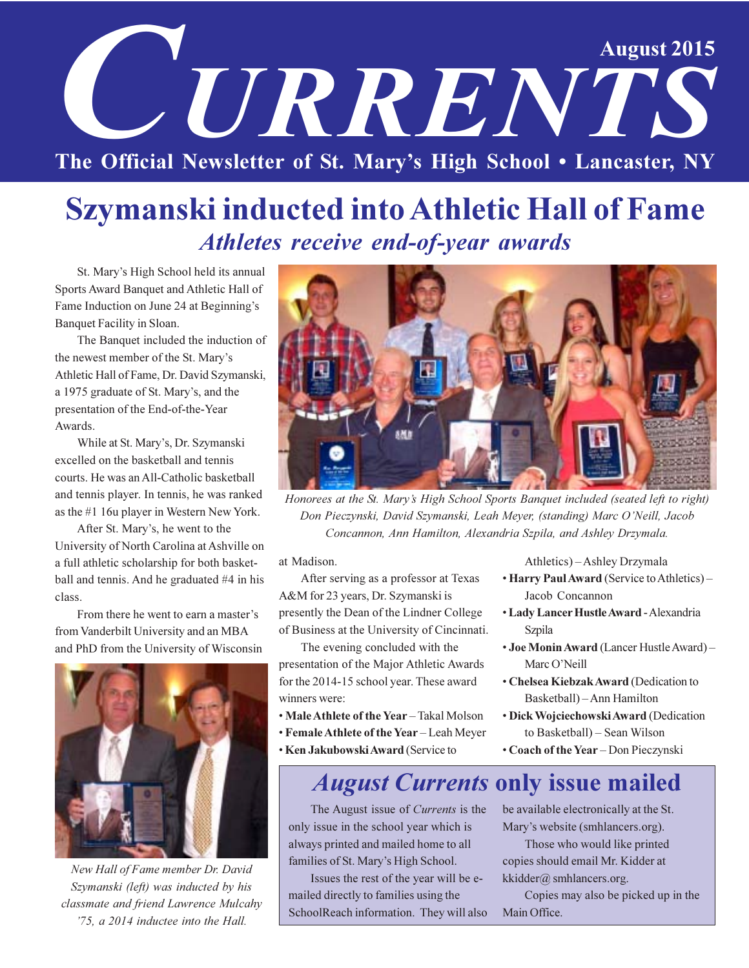# **August 2015** UNRENTS The Official Newsletter of St. Mary's High School . Lancaster, NY

# **Szymanski inducted into Athletic Hall of Fame** Athletes receive end-of-year awards

St. Mary's High School held its annual Sports Award Banquet and Athletic Hall of Fame Induction on June 24 at Beginning's Banquet Facility in Sloan.

The Banquet included the induction of the newest member of the St. Mary's Athletic Hall of Fame, Dr. David Szymanski, a 1975 graduate of St. Mary's, and the presentation of the End-of-the-Year Awards.

While at St. Mary's, Dr. Szymanski excelled on the basketball and tennis courts. He was an All-Catholic basketball and tennis player. In tennis, he was ranked as the  $#1$  16u player in Western New York.

After St. Mary's, he went to the University of North Carolina at Ashville on a full athletic scholarship for both basketball and tennis. And he graduated #4 in his class.

From there he went to earn a master's from Vanderbilt University and an MBA and PhD from the University of Wisconsin



New Hall of Fame member Dr. David Szymanski (left) was inducted by his classmate and friend Lawrence Mulcahy '75, a 2014 inductee into the Hall.



Honorees at the St. Mary's High School Sports Banquet included (seated left to right) Don Pieczynski, David Szymanski, Leah Meyer, (standing) Marc O'Neill, Jacob Concannon, Ann Hamilton, Alexandria Szpila, and Ashley Drzymala.

at Madison.

After serving as a professor at Texas A&M for 23 years, Dr. Szymanski is presently the Dean of the Lindner College of Business at the University of Cincinnati.

The evening concluded with the presentation of the Major Athletic Awards for the 2014-15 school year. These award winners were:

- Male Athlete of the Year Takal Molson
- Female Athlete of the Year Leah Meyer
- · Ken Jakubowski Award (Service to

Athletics) – Ashley Drzymala

- Harry Paul Award (Service to Athletics) -Jacob Concannon
- · Lady Lancer Hustle Award Alexandria Szpila
- Joe Monin Award (Lancer Hustle Award) -Marc O'Neill
- Chelsea Kiebzak Award (Dedication to Basketball) - Ann Hamilton
- · Dick Wojciechowski Award (Dedication to Basketball) - Sean Wilson
- Coach of the Year Don Pieczynski

# **August Currents only issue mailed**

The August issue of *Currents* is the only issue in the school year which is always printed and mailed home to all families of St. Mary's High School.

Issues the rest of the year will be emailed directly to families using the SchoolReach information. They will also be available electronically at the St. Mary's website (smhlancers.org).

Those who would like printed copies should email Mr. Kidder at kkidder@ smhlancers.org.

Copies may also be picked up in the Main Office.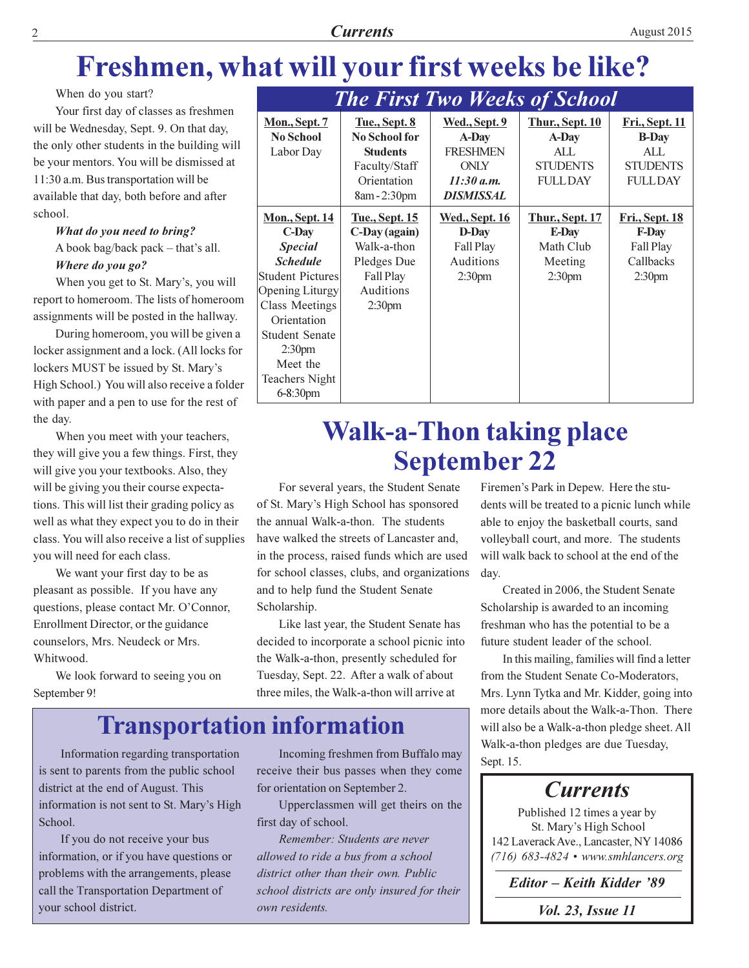# **Currents**

# Freshmen, what will your first weeks be like?

When do you start?

Your first day of classes as freshmen will be Wednesday, Sept. 9. On that day, the only other students in the building will be your mentors. You will be dismissed at 11:30 a.m. Bus transportation will be available that day, both before and after school.

# What do you need to bring? A book bag/back pack - that's all.

Where do you go?

When you get to St. Mary's, you will report to homeroom. The lists of homeroom assignments will be posted in the hallway.

During homeroom, you will be given a locker assignment and a lock. (All locks for lockers MUST be issued by St. Mary's High School.) You will also receive a folder with paper and a pen to use for the rest of the day.

When you meet with your teachers, they will give you a few things. First, they will give you your textbooks. Also, they will be giving you their course expectations. This will list their grading policy as well as what they expect you to do in their class. You will also receive a list of supplies you will need for each class.

We want your first day to be as pleasant as possible. If you have any questions, please contact Mr. O'Connor, Enrollment Director, or the guidance counselors, Mrs. Neudeck or Mrs. Whitwood.

We look forward to seeing you on September 9!

|                                                                                                                                                                                                                                                         |                                                                                                                      | <b>The First Two Weeks of School</b>                                                              |                                                                               |                                                                                               |
|---------------------------------------------------------------------------------------------------------------------------------------------------------------------------------------------------------------------------------------------------------|----------------------------------------------------------------------------------------------------------------------|---------------------------------------------------------------------------------------------------|-------------------------------------------------------------------------------|-----------------------------------------------------------------------------------------------|
| <b>Mon., Sept. 7</b><br><b>No School</b><br>Labor Day                                                                                                                                                                                                   | <b>Tue., Sept. 8</b><br><b>No School for</b><br><b>Students</b><br>Faculty/Staff<br>Orientation<br>8am - 2:30pm      | <u>Wed., Sept. 9</u><br>A-Day<br><b>FRESHMEN</b><br><b>ONLY</b><br>11:30 a.m.<br><b>DISMISSAL</b> | <b>Thur., Sept. 10</b><br>A-Day<br>ALL.<br><b>STUDENTS</b><br><b>FULLDAY</b>  | <b>Fri., Sept. 11</b><br><b>B-Day</b><br>AI <sub>L</sub><br><b>STUDENTS</b><br><b>FULLDAY</b> |
| <u>Mon., Sept. 14</u><br>C-Day<br><b>Special</b><br><b>Schedule</b><br>Student Pictures<br>Opening Liturgy<br><b>Class Meetings</b><br>Orientation<br><b>Student Senate</b><br>2:30 <sub>pm</sub><br>Meet the<br><b>Teachers Night</b><br>$6 - 8:30$ pm | <u>Tue., Sept. 15</u><br>C-Day (again)<br>Walk-a-thon<br>Pledges Due<br>Fall Play<br>Auditions<br>2:30 <sub>pm</sub> | <u> Wed., Sept. 16</u><br>D-Day<br>Fall Play<br>Auditions<br>2:30 <sub>pm</sub>                   | <u>Thur., Sept. 17</u><br>E-Day<br>Math Club<br>Meeting<br>2:30 <sub>pm</sub> | <u>Fri., Sept. 18</u><br><b>F-Day</b><br>Fall Play<br>Callbacks<br>2:30 <sub>pm</sub>         |

# **Walk-a-Thon taking place September 22**

For several years, the Student Senate of St. Mary's High School has sponsored the annual Walk-a-thon. The students have walked the streets of Lancaster and, in the process, raised funds which are used for school classes, clubs, and organizations and to help fund the Student Senate Scholarship.

Like last year, the Student Senate has decided to incorporate a school picnic into the Walk-a-thon, presently scheduled for Tuesday, Sept. 22. After a walk of about three miles, the Walk-a-thon will arrive at

# **Transportation information**

Information regarding transportation is sent to parents from the public school district at the end of August. This information is not sent to St. Mary's High School.

If you do not receive your bus information, or if you have questions or problems with the arrangements, please call the Transportation Department of your school district.

Incoming freshmen from Buffalo may receive their bus passes when they come for orientation on September 2.

Upperclassmen will get theirs on the first day of school.

Remember: Students are never allowed to ride a bus from a school district other than their own. Public school districts are only insured for their own residents.

Firemen's Park in Depew. Here the students will be treated to a picnic lunch while able to enjoy the basketball courts, sand volleyball court, and more. The students will walk back to school at the end of the day.

Created in 2006, the Student Senate Scholarship is awarded to an incoming freshman who has the potential to be a future student leader of the school.

In this mailing, families will find a letter from the Student Senate Co-Moderators, Mrs. Lynn Tytka and Mr. Kidder, going into more details about the Walk-a-Thon. There will also be a Walk-a-thon pledge sheet. All Walk-a-thon pledges are due Tuesday, Sept. 15.

# **Currents**

Published 12 times a year by St. Mary's High School 142 Laverack Ave., Lancaster, NY 14086  $(716)$  683-4824 • www.smhlancers.org

Editor - Keith Kidder '89

*Vol. 23, Issue 11*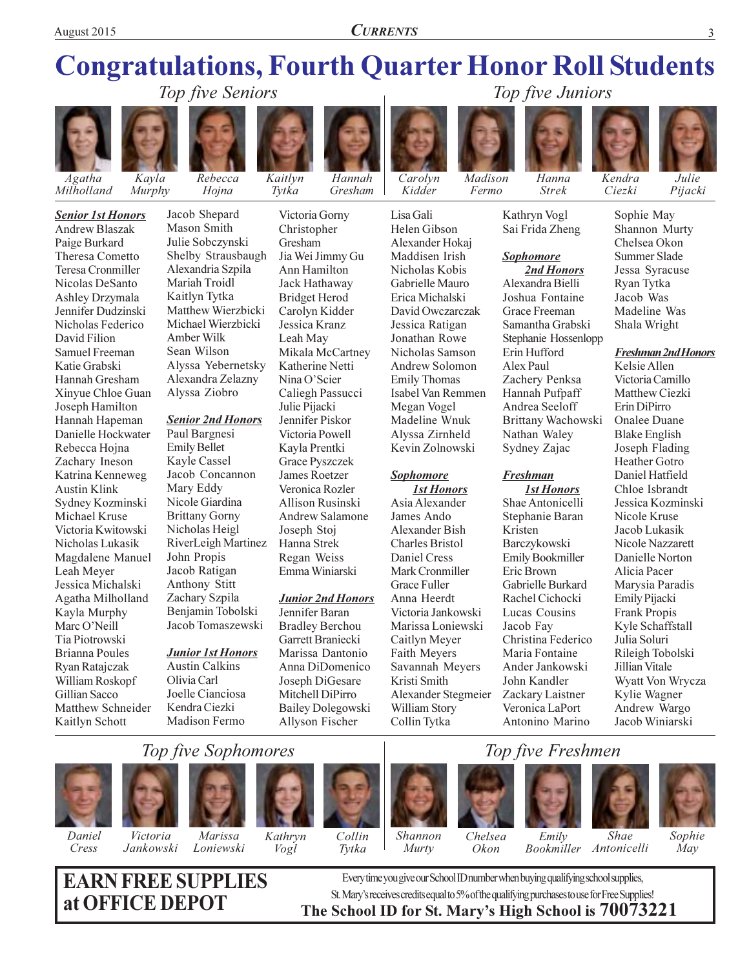**CURRENTS** 

# **Congratulations, Fourth Quarter Honor Roll Students** Top five Seniors

Gresham





Murphy

Milholland

**Senior 1st Honors Andrew Blaszak** Paige Burkard **Theresa Cometto** Teresa Cronmiller Nicolas DeSanto **Ashley Drzymala** Jennifer Dudzinski Nicholas Federico David Filion Samuel Freeman Katie Grabski Hannah Gresham Xinyue Chloe Guan Joseph Hamilton Hannah Hapeman Danielle Hockwater Rebecca Hojna Zachary Ineson Katrina Kenneweg **Austin Klink** Sydney Kozminski Michael Kruse Victoria Kwitowski Nicholas Lukasik Magdalene Manuel Leah Meyer Jessica Michalski Agatha Milholland Kayla Murphy Marc O'Neill Tia Piotrowski **Brianna Poules** Ryan Ratajczak William Roskopf Gillian Sacco Matthew Schneider Kaitlyn Schott



Jacob Shepard Mason Smith Julie Sobczynski Shelby Strausbaugh Alexandria Szpila Mariah Troidl Kaitlyn Tytka Matthew Wierzbicki Michael Wierzbicki Amber Wilk Sean Wilson Alyssa Yebernetsky Alexandra Zelazny Alyssa Ziobro

### **Senior 2nd Honors**

Paul Bargnesi **Emily Bellet** Kayle Cassel Jacob Concannon Mary Eddy Nicole Giardina **Brittany Gorny** Nicholas Heigl RiverLeigh Martinez John Propis Jacob Ratigan Anthony Stitt Zachary Szpila Benjamin Tobolski Jacob Tomaszewski

### **Junior 1st Honors**

**Austin Calkins** Olivia Carl Joelle Cianciosa Kendra Ciezki Madison Fermo

Gresham Jia Wei Jimmy Gu Ann Hamilton Jack Hathaway **Bridget Herod** Carolyn Kidder Jessica Kranz Leah May Mikala McCartney Katherine Netti Nina O'Scier Caliegh Passucci Julie Pijacki Jennifer Piskor Victoria Powell Kayla Prentki **Grace Pyszczek James Roetzer** Veronica Rozler **Allison Rusinski Andrew Salamone** Joseph Stoj Hanna Strek Regan Weiss

Kaitlyn

Tytka

Victoria Gorny

Christopher

### **Junior 2nd Honors**

Emma Winiarski

Jennifer Baran **Bradley Berchou** Garrett Braniecki Marissa Dantonio Anna DiDomenico Joseph DiGesare Mitchell DiPirro **Bailey Dolegowski** Allyson Fischer



Lisa Gali

Helen Gibson

Alexander Hokaj

Maddisen Irish

Nicholas Kobis

Gabrielle Mauro

Erica Michalski

Jessica Ratigan

Jonathan Rowe

**Emily Thomas** 

Megan Vogel

Sophomore

James Ando

Asia Alexander

**Alexander Bish** 

Charles Bristol

Mark Cronmiller

Victoria Jankowski

Marissa Loniewski

Savannah Meyers

Alexander Stegmeier

Daniel Cress

**Grace Fuller** 

Anna Heerdt

Caitlyn Meyer

Faith Meyers

Kristi Smith

William Story

Collin Tytka

Madeline Wnuk

Alyssa Zirnheld

Kevin Zolnowski

**1st Honors** 

Nicholas Samson

Andrew Solomon

Isabel Van Remmen

David Owczarczak

Madison Kidder Fermo



Kathryn Vogl Sai Frida Zheng

### **Sophomore**

2nd Honors Alexandra Bielli Joshua Fontaine Grace Freeman Samantha Grabski Stephanie Hossenlopp Erin Hufford Alex Paul Zachery Penksa Hannah Pufpaff Andrea Seeloff Brittany Wachowski Nathan Waley Sydney Zajac

### **Freshman**

**1st Honors** Shae Antonicelli Stephanie Baran Kristen Barczykowski **Emily Bookmiller** Eric Brown Gabrielle Burkard Rachel Cichocki Lucas Cousins Jacob Fay Christina Federico Maria Fontaine Ander Jankowski John Kandler Zackary Laistner Veronica LaPort Antonino Marino



Sophie May

**Freshman 2nd Honors** 

Kelsie Allen Victoria Camillo Matthew Ciezki Erin DiPirro **Onalee Duane Blake English** Joseph Flading **Heather Gotro** Daniel Hatfield Chloe Isbrandt Jessica Kozminski Nicole Kruse Jacob Lukasik Nicole Nazzarett Danielle Norton Alicia Pacer Marysia Paradis Emily Pijacki Frank Propis Kyle Schaffstall Julia Soluri Rileigh Tobolski Jillian Vitale Wyatt Von Wrycza Kylie Wagner Andrew Wargo Jacob Winiarski

# Top five Sophomores



Cress



Marissa Jankowski Loniewski





# Murty





 $Emily$ 







**EARN FREE SUPPLIES** at OFFICE DEPOT

Every time you give our School ID number when buying qualifying school supplies, St. Mary's receives credits equal to 5% of the qualifying purchases to use for Free Supplies! The School ID for St. Mary's High School is 70073221

*Julie* 

Pijacki

# Top five Juniors



Ciezki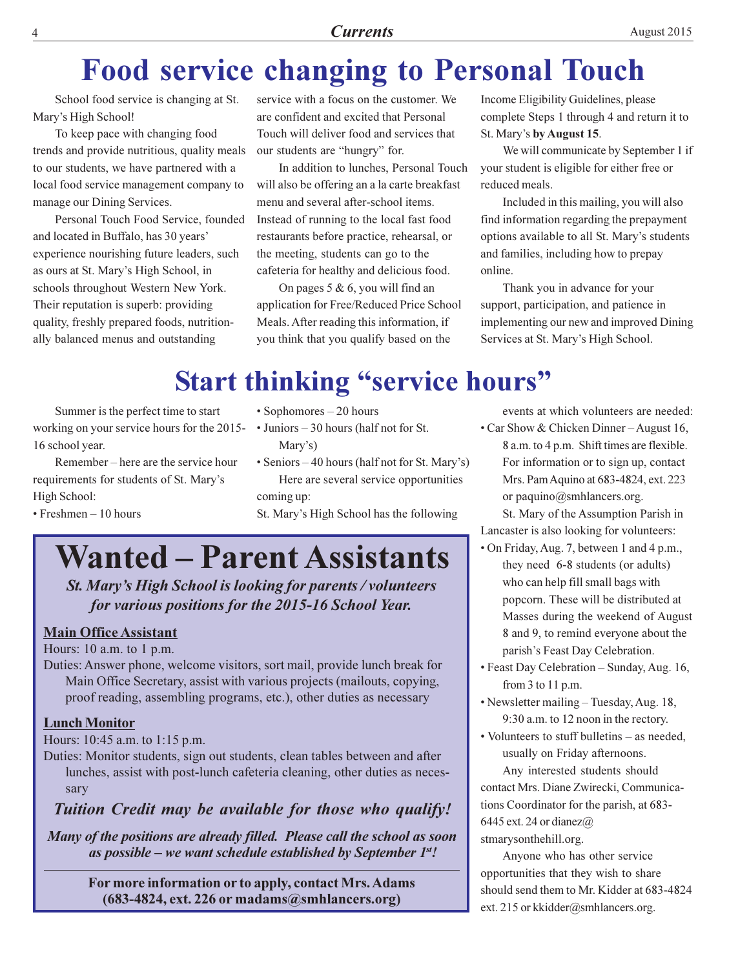# **Food service changing to Personal Touch**

School food service is changing at St. Mary's High School!

To keep pace with changing food trends and provide nutritious, quality meals to our students, we have partnered with a local food service management company to manage our Dining Services.

Personal Touch Food Service, founded and located in Buffalo, has 30 years' experience nourishing future leaders, such as ours at St. Mary's High School, in schools throughout Western New York. Their reputation is superb: providing quality, freshly prepared foods, nutritionally balanced menus and outstanding

service with a focus on the customer. We are confident and excited that Personal Touch will deliver food and services that our students are "hungry" for.

In addition to lunches, Personal Touch will also be offering an a la carte breakfast menu and several after-school items. Instead of running to the local fast food restaurants before practice, rehearsal, or the meeting, students can go to the cafeteria for healthy and delicious food.

On pages 5 & 6, you will find an application for Free/Reduced Price School Meals. After reading this information, if you think that you qualify based on the

Income Eligibility Guidelines, please complete Steps 1 through 4 and return it to St. Mary's by August 15.

We will communicate by September 1 if your student is eligible for either free or reduced meals.

Included in this mailing, you will also find information regarding the prepayment options available to all St. Mary's students and families, including how to prepay online.

Thank you in advance for your support, participation, and patience in implementing our new and improved Dining Services at St. Mary's High School.

# **Start thinking "service hours"**

Summer is the perfect time to start working on your service hours for the 2015-16 school year.

Remember – here are the service hour requirements for students of St. Mary's High School:

 $\cdot$  Freshmen  $-10$  hours

- $\cdot$  Sophomores  $-20$  hours
- $\cdot$  Juniors 30 hours (half not for St. Mary's)
- Seniors 40 hours (half not for St. Mary's) Here are several service opportunities coming up:

St. Mary's High School has the following

# **Wanted – Parent Assistants**

St. Mary's High School is looking for parents / volunteers for various positions for the 2015-16 School Year.

# **Main Office Assistant**

Hours:  $10$  a.m. to  $1$  p.m.

Duties: Answer phone, welcome visitors, sort mail, provide lunch break for Main Office Secretary, assist with various projects (mailouts, copying, proof reading, assembling programs, etc.), other duties as necessary

# **Lunch Monitor**

Hours: 10:45 a.m. to 1:15 p.m.

Duties: Monitor students, sign out students, clean tables between and after lunches, assist with post-lunch cafeteria cleaning, other duties as necessarv

# Tuition Credit may be available for those who qualify!

Many of the positions are already filled. Please call the school as soon as possible – we want schedule established by September  $1^{st}$ .

For more information or to apply, contact Mrs. Adams  $(683-4824, \text{ext. } 226 \text{ or madams} \textcircled{a} \text{smhlaners.org})$ 

events at which volunteers are needed:

• Car Show & Chicken Dinner – August 16, 8 a.m. to 4 p.m. Shift times are flexible. For information or to sign up, contact Mrs. Pam Aquino at 683-4824, ext. 223 or paquino@smhlancers.org.

St. Mary of the Assumption Parish in Lancaster is also looking for volunteers:

- On Friday, Aug. 7, between 1 and 4 p.m., they need 6-8 students (or adults) who can help fill small bags with popcorn. These will be distributed at Masses during the weekend of August 8 and 9, to remind everyone about the parish's Feast Day Celebration.
- Feast Day Celebration Sunday, Aug. 16, from 3 to 11 p.m.
- Newsletter mailing Tuesday, Aug. 18, 9:30 a.m. to 12 noon in the rectory.
- Volunteers to stuff bulletins as needed, usually on Friday afternoons.

Any interested students should contact Mrs. Diane Zwirecki, Communications Coordinator for the parish, at 683-6445 ext. 24 or dianez $\omega$ stmarysonthehill.org.

Anyone who has other service opportunities that they wish to share should send them to Mr. Kidder at 683-4824 ext. 215 or kkidder@smhlancers.org.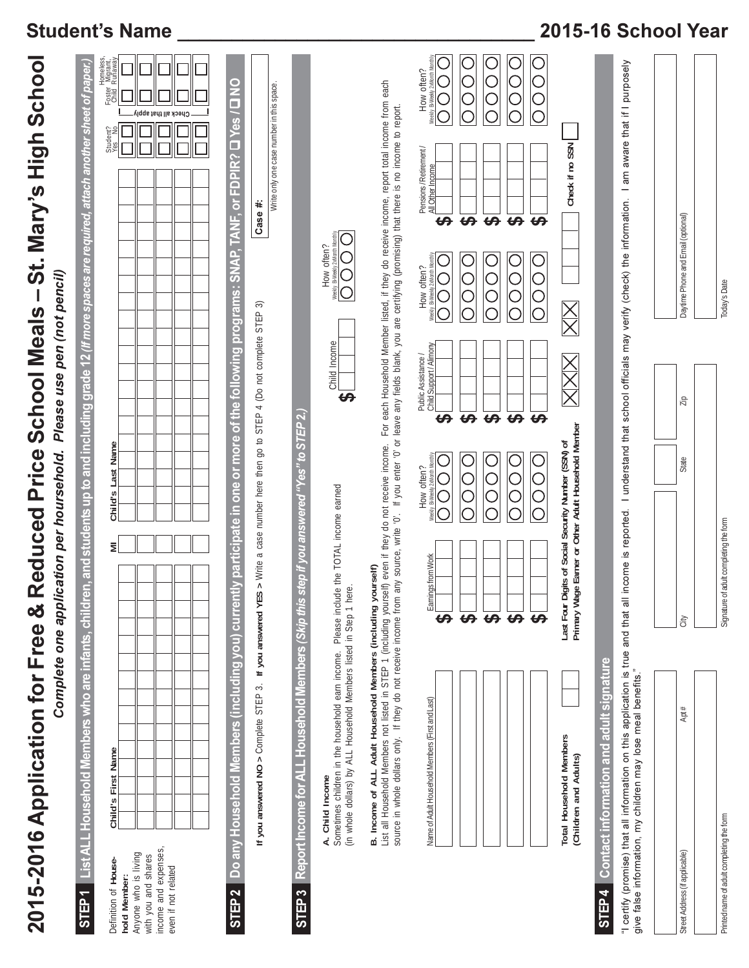| List ALL Household Members who are infants, children, and students up to and including grade 12 (If more spaces are required, attach another sheet of paper.)<br>"I certify (promise) that all information on this application is true and that all income is reported. I understand that school officials may verify (check) the information. I am aware that if I purposely<br>List all Household Members not listed in STEP 1 (including yourself) even if they do not receive income. Tor each Household Member listed, if they do receive income, report total income from<br>source in whole dollars only. I<br>y participate in one or more of the following programs: SNAP, TAN<br>> Write a case number here then go to STEP 4 (Do not complete STEP<br>tep if you answered "Yes" to STEP 2.<br>Primary Wage Earner or Other Adult Household Member<br>Last Four Digits of Social Security Number (SSN) of<br>Please include the TOTAL income earned<br>Weekly Bi-Weekly<br>₹<br>Earnings from Work<br>B. Income of ALL Adult Household Members (including yourself)<br>(in whole dollars) by ALL Household Members listed in Step 1 here<br>Do any Household Members (including you) current<br>Report Income for ALL Household Members (Skip this s<br>If you answered NO > Complete STEP 3. If you answered YES<br>$\leftrightarrow$<br>$\theta$ $\theta$ $\theta$<br>$\theta$<br>Sometimes children in the household earn income.<br>Contact information and adult signature<br>give false information, my children may lose meal benefits."<br>Name of Adult Household Members (First and Last)<br>Total Household Members<br>Child's First Name<br>(Children and Adults)<br>A. Child Income<br>income and expenses,<br>Anyone who is living<br>with you and shares<br>Definition of House-<br>even if not related<br>hold Member:<br>STEP <sub>1</sub><br>STEP <sub>3</sub><br>STEP4<br>STEP <sub>2</sub> |  | 2015-2016 Application for Free & Reduced Price School Meals<br>Complete one application per hoursehold. |                   | Please use pen (not pencil)                                     |                                        | St. Mary's High Schoo                                                                                                       |
|--------------------------------------------------------------------------------------------------------------------------------------------------------------------------------------------------------------------------------------------------------------------------------------------------------------------------------------------------------------------------------------------------------------------------------------------------------------------------------------------------------------------------------------------------------------------------------------------------------------------------------------------------------------------------------------------------------------------------------------------------------------------------------------------------------------------------------------------------------------------------------------------------------------------------------------------------------------------------------------------------------------------------------------------------------------------------------------------------------------------------------------------------------------------------------------------------------------------------------------------------------------------------------------------------------------------------------------------------------------------------------------------------------------------------------------------------------------------------------------------------------------------------------------------------------------------------------------------------------------------------------------------------------------------------------------------------------------------------------------------------------------------------------------------------------------------------------------------------------------------------------------------------------------------------|--|---------------------------------------------------------------------------------------------------------|-------------------|-----------------------------------------------------------------|----------------------------------------|-----------------------------------------------------------------------------------------------------------------------------|
|                                                                                                                                                                                                                                                                                                                                                                                                                                                                                                                                                                                                                                                                                                                                                                                                                                                                                                                                                                                                                                                                                                                                                                                                                                                                                                                                                                                                                                                                                                                                                                                                                                                                                                                                                                                                                                                                                                                          |  |                                                                                                         |                   |                                                                 |                                        |                                                                                                                             |
|                                                                                                                                                                                                                                                                                                                                                                                                                                                                                                                                                                                                                                                                                                                                                                                                                                                                                                                                                                                                                                                                                                                                                                                                                                                                                                                                                                                                                                                                                                                                                                                                                                                                                                                                                                                                                                                                                                                          |  |                                                                                                         | Child's Last Name |                                                                 |                                        | Foster Migrant,<br>Foster Migrant,<br>Child Runaway<br>Check all that apply                                                 |
|                                                                                                                                                                                                                                                                                                                                                                                                                                                                                                                                                                                                                                                                                                                                                                                                                                                                                                                                                                                                                                                                                                                                                                                                                                                                                                                                                                                                                                                                                                                                                                                                                                                                                                                                                                                                                                                                                                                          |  |                                                                                                         |                   |                                                                 | ନ                                      | $\frac{8}{10}$<br>Write only one case number in this space.<br>Yes/<br>$\Box$<br>F. or FDPIR?<br>Case #:                    |
|                                                                                                                                                                                                                                                                                                                                                                                                                                                                                                                                                                                                                                                                                                                                                                                                                                                                                                                                                                                                                                                                                                                                                                                                                                                                                                                                                                                                                                                                                                                                                                                                                                                                                                                                                                                                                                                                                                                          |  |                                                                                                         |                   |                                                                 |                                        |                                                                                                                             |
|                                                                                                                                                                                                                                                                                                                                                                                                                                                                                                                                                                                                                                                                                                                                                                                                                                                                                                                                                                                                                                                                                                                                                                                                                                                                                                                                                                                                                                                                                                                                                                                                                                                                                                                                                                                                                                                                                                                          |  |                                                                                                         |                   | Child Income<br>$\Theta$                                        | How often?<br>y BiWeeky 2xMonth Monthl | For each Household Member listed, if they do receive income, report total income from each                                  |
|                                                                                                                                                                                                                                                                                                                                                                                                                                                                                                                                                                                                                                                                                                                                                                                                                                                                                                                                                                                                                                                                                                                                                                                                                                                                                                                                                                                                                                                                                                                                                                                                                                                                                                                                                                                                                                                                                                                          |  |                                                                                                         |                   |                                                                 |                                        |                                                                                                                             |
|                                                                                                                                                                                                                                                                                                                                                                                                                                                                                                                                                                                                                                                                                                                                                                                                                                                                                                                                                                                                                                                                                                                                                                                                                                                                                                                                                                                                                                                                                                                                                                                                                                                                                                                                                                                                                                                                                                                          |  |                                                                                                         | How often?<br>С   | Public Assistance /<br>Child Support/Alimony<br>###<br>$\Theta$ | How often?<br>Weekly B-Weekly 2xM      | How often?<br>$\bigcirc$<br>Weekly BiWe<br>Pensions/Retirement/<br>All Other Income<br>$\leftrightarrow$<br>###<br>$\Theta$ |
|                                                                                                                                                                                                                                                                                                                                                                                                                                                                                                                                                                                                                                                                                                                                                                                                                                                                                                                                                                                                                                                                                                                                                                                                                                                                                                                                                                                                                                                                                                                                                                                                                                                                                                                                                                                                                                                                                                                          |  |                                                                                                         | $\bigcirc$        | $\Theta$                                                        | $\bigcirc$                             |                                                                                                                             |
|                                                                                                                                                                                                                                                                                                                                                                                                                                                                                                                                                                                                                                                                                                                                                                                                                                                                                                                                                                                                                                                                                                                                                                                                                                                                                                                                                                                                                                                                                                                                                                                                                                                                                                                                                                                                                                                                                                                          |  |                                                                                                         |                   |                                                                 |                                        | Check if no SSN                                                                                                             |
|                                                                                                                                                                                                                                                                                                                                                                                                                                                                                                                                                                                                                                                                                                                                                                                                                                                                                                                                                                                                                                                                                                                                                                                                                                                                                                                                                                                                                                                                                                                                                                                                                                                                                                                                                                                                                                                                                                                          |  |                                                                                                         |                   |                                                                 |                                        |                                                                                                                             |
|                                                                                                                                                                                                                                                                                                                                                                                                                                                                                                                                                                                                                                                                                                                                                                                                                                                                                                                                                                                                                                                                                                                                                                                                                                                                                                                                                                                                                                                                                                                                                                                                                                                                                                                                                                                                                                                                                                                          |  |                                                                                                         |                   |                                                                 |                                        |                                                                                                                             |
| City<br>Apt#<br>Street Address (if applicable)                                                                                                                                                                                                                                                                                                                                                                                                                                                                                                                                                                                                                                                                                                                                                                                                                                                                                                                                                                                                                                                                                                                                                                                                                                                                                                                                                                                                                                                                                                                                                                                                                                                                                                                                                                                                                                                                           |  |                                                                                                         | State             | Ziρ                                                             | Daytime Phone and Email (optional)     |                                                                                                                             |

# -- -!/
% ;;;;;;;;;;;;;;;;;;;;;;;;;;;;;;;;; -

# \_\_\_\_\_\_\_\_\_\_\_\_\_\_\_\_\_\_\_\_\_\_\_ 2015-16 School Year

Printed name of adult completing the form

Printed name of adult completing the form

Signature of adult completing the form

Signature of adult completing the form

Today's Date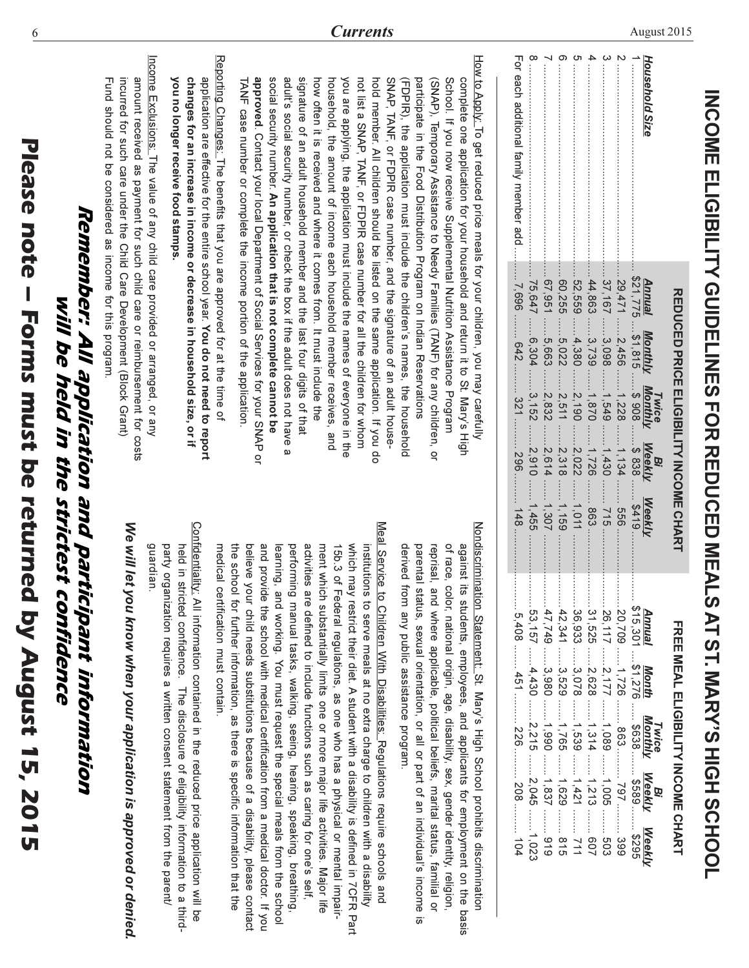| I                      |
|------------------------|
|                        |
| I<br>I                 |
| $\frac{1}{4}$          |
|                        |
|                        |
| í<br>I<br>I<br>I<br>SS |
| ł<br>ľ                 |
| Y<br>1<br><b>NO15</b>  |
|                        |

6

# Remember: All application and participant information will be held in the strictest confidence

Confidentiality: All information contained in the reduced price application will be guardian. party organization requires a written consent statement from the parent/ held in stricted confidence. The disclosure of eligibility information to a third-

medical certification must contain.

We will let you know when your application is approved or denied

Reporting Changes. The benefits that you are approved for at the time of application are effective for the entire school year. You do not need to report

Income Exclusions: The value of any child care provided or arranged, or any

you no longer receive food stamps.

changes for an increase in income or decrease in household size, or if

amount received as payment for such child care or reimbursement for costs

incurred for such care under the Child Care Development (Block Grant)

Fund should not be considered as income for this program

How to Apply. To get reduced price meals for your children, you may carefully approved. Contact your local Department of Social Services for your SNAP or social security number. An application that is not complete cannot be adult's social security number, or check the box if the adult does not have a signature of an adult household member and the last four digits of that TANF case number or complete the income portion of the application. how often it is received and where it comes from. It must include the you are applying, the application must include the names of everyone in the not list a SNAF, TANF, or HDPIR case number tor all the children for whom hold member. All children should be listed on the same application. If you do SNAP, TANF, or FDPIR case number, and the signature of an adult house-(FDPIR), the application must include the children's names, the household participate in the Food Distribution Program on Indian Reservations (SNAP), Temporary Assistance to Needy Families (TANF) for any children, or School. If you now receive Supplemental Nutrition Assistance Program complete one application for your household and return it to St. Mary's High household, the amount of income each household member receives, and

> Nondiscrimination Statement: St. Mary's High School prohibits discrimination of race, color, national origin, age, disability, sex, gender identity, religion, against its students, employees, and applicants for employment on the basis parental status, sexual orientation, or all or part of an individual's income reprisal, and where applicable, political beliefs, marital status, familial or derived from any public assistance program.  $\overline{\omega}$

Meal Service to Children With Disabilities. Regulations require schools and believe your child needs substitutions because of a disability, please contact and provide the school with medical certification from a medical doctor. If you performing manual tasks, walking, seeing, hearing, speaking, breathing, activities are defined to include functions such as caring for one's self, ment which substantially limits one or more major life activities. Major life which may restrict their diet. A student with a disability is defined in 7CFR Part institutions to serve meals at no extra charge to children with a disability learning, and working. You must request the special meals from the school the school for further information, as there is specific information that the 15b.3 of Federal regulations, as one who has a physical or mental impair-

| \$21,775 |                   |                    |                                                                                     | $-5419$                                                         |                                                                                   |  |                                                                                                                                                                                                                                                                                       |
|----------|-------------------|--------------------|-------------------------------------------------------------------------------------|-----------------------------------------------------------------|-----------------------------------------------------------------------------------|--|---------------------------------------------------------------------------------------------------------------------------------------------------------------------------------------------------------------------------------------------------------------------------------------|
|          | .2,456            |                    |                                                                                     | ።<br>995                                                        |                                                                                   |  |                                                                                                                                                                                                                                                                                       |
| .37,167  | 3,098             |                    | 1,430                                                                               | $-115$                                                          |                                                                                   |  |                                                                                                                                                                                                                                                                                       |
| .44,863  | 3,739             |                    | 1,726                                                                               | $\ldots$ 863.                                                   |                                                                                   |  |                                                                                                                                                                                                                                                                                       |
| .52, 559 | $-4,380$          |                    | $-2,022$                                                                            | 1.011                                                           |                                                                                   |  |                                                                                                                                                                                                                                                                                       |
| .60, 255 | .5,022            | .2,511             | 2, 318                                                                              |                                                                 |                                                                                   |  |                                                                                                                                                                                                                                                                                       |
| 67,951   | .5,663            | .2,832             | .2,614                                                                              | 1,307                                                           |                                                                                   |  |                                                                                                                                                                                                                                                                                       |
| .75,647  | 6,304             | 3,152              |                                                                                     |                                                                 |                                                                                   |  |                                                                                                                                                                                                                                                                                       |
| 969'Z    |                   |                    |                                                                                     |                                                                 |                                                                                   |  |                                                                                                                                                                                                                                                                                       |
|          |                   |                    |                                                                                     |                                                                 |                                                                                   |  |                                                                                                                                                                                                                                                                                       |
|          | .29,471<br>Annual | Monthly<br>\$1,815 | $\ldots$ 321.<br>2,190.<br>1,549.<br>1.870<br>.1,228<br>Twice<br>Monthly<br>…\$ 908 | 362<br>$-2,910$<br>1,134<br><b>Weekly</b><br>Meekly<br>\$ 838 . | REDOCED PRICE ELIGIBILITY INCONFICTION<br>841<br>1,455<br>1, 159<br><b>Weekly</b> |  | ekly<br>ekly<br>19<br>16 - Meekly Meekly Meekly<br>16 - 1720 - 11,276 - 838 - 1589 - \$289<br>16 - 112 - 112 - 112 - 1108 - 1108 - 1108<br>16 - 112 - 112 - 112 - 1108 - 1108 - 1108<br>16 - 112 - 112 - 112 - 1108 - 1108 - 1108<br>16 - 112 -<br>FREE MEAL ELIGIBILITY INCOME CHART |

INCOME ELIGIBILITY GUNDELINES AT ST. MARY'S HIGH SAT ST. MARY'S HIGH SCHOOL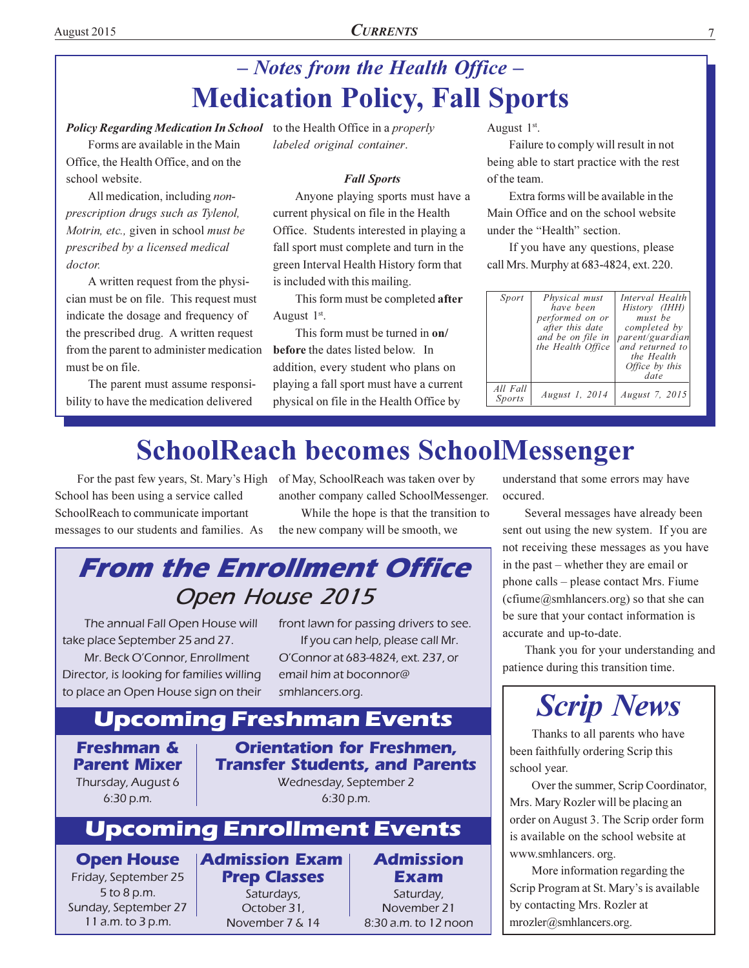# - Notes from the Health Office -**Medication Policy, Fall Sports**

## Policy Regarding Medication In School to the Health Office in a properly

Forms are available in the Main Office, the Health Office, and on the school website.

All medication, including nonprescription drugs such as Tylenol, Motrin, etc., given in school must be prescribed by a licensed medical doctor.

A written request from the physician must be on file. This request must indicate the dosage and frequency of the prescribed drug. A written request from the parent to administer medication must be on file.

The parent must assume responsibility to have the medication delivered

labeled original container.

### **Fall Sports**

Anyone playing sports must have a current physical on file in the Health Office. Students interested in playing a fall sport must complete and turn in the green Interval Health History form that is included with this mailing.

This form must be completed after August 1<sup>st</sup>.

This form must be turned in on/ before the dates listed below. In addition, every student who plans on playing a fall sport must have a current physical on file in the Health Office by

August 1<sup>st</sup>.

Failure to comply will result in not being able to start practice with the rest of the team.

Extra forms will be available in the Main Office and on the school website under the "Health" section.

If you have any questions, please call Mrs. Murphy at 683-4824, ext. 220.

| Sport              | Physical must<br>have been<br>performed on or<br>after this date<br>and be on file in<br>the Health Office | Interval Health<br>History (IHH)<br>must be<br>completed by<br>parent/guardian<br>and returned to<br>the Health<br>Office by this<br>date |
|--------------------|------------------------------------------------------------------------------------------------------------|-------------------------------------------------------------------------------------------------------------------------------------------|
| All Fall<br>Sports | August 1, 2014                                                                                             | August 7, 2015                                                                                                                            |

# **SchoolReach becomes SchoolMessenger**

School has been using a service called SchoolReach to communicate important messages to our students and families. As

For the past few years, St. Mary's High of May, SchoolReach was taken over by another company called SchoolMessenger.

> While the hope is that the transition to the new company will be smooth, we

# **From the Enrollment Office** Open House 2015

The annual Fall Open House will take place September 25 and 27.

Mr. Beck O'Connor, Enrollment Director, is looking for families willing to place an Open House sign on their front lawn for passing drivers to see. If you can help, please call Mr. O'Connor at 683-4824, ext. 237, or email him at boconnor@ smhlancers.org.

# **Upcoming Freshman Events**

# **Freshman & Parent Mixer** Thursday, August 6

 $6:30 p.m.$ 

**Orientation for Freshmen, Transfer Students, and Parents** Wednesday, September 2  $6:30 p.m.$ 

# **Upcoming Enrollment Events**

Saturdays,

October 31.

**Open House** Friday, September 25 5 to 8 p.m. Sunday, September 27 11 a.m. to 3 p.m.

**Admission Exam Admission Prep Classes** Exam Saturday, November 21 November 7 & 14 8:30 a.m. to 12 noon understand that some errors may have occured.

Several messages have already been sent out using the new system. If you are not receiving these messages as you have in the past – whether they are email or phone calls – please contact Mrs. Fiume (cfiume@smhlancers.org) so that she can be sure that your contact information is accurate and up-to-date.

Thank you for your understanding and patience during this transition time.



Thanks to all parents who have been faithfully ordering Scrip this school year.

Over the summer, Scrip Coordinator, Mrs. Mary Rozler will be placing an order on August 3. The Scrip order form is available on the school website at www.smhlancers.org.

More information regarding the Scrip Program at St. Mary's is available by contacting Mrs. Rozler at  $mrozler@smhlancers.org.$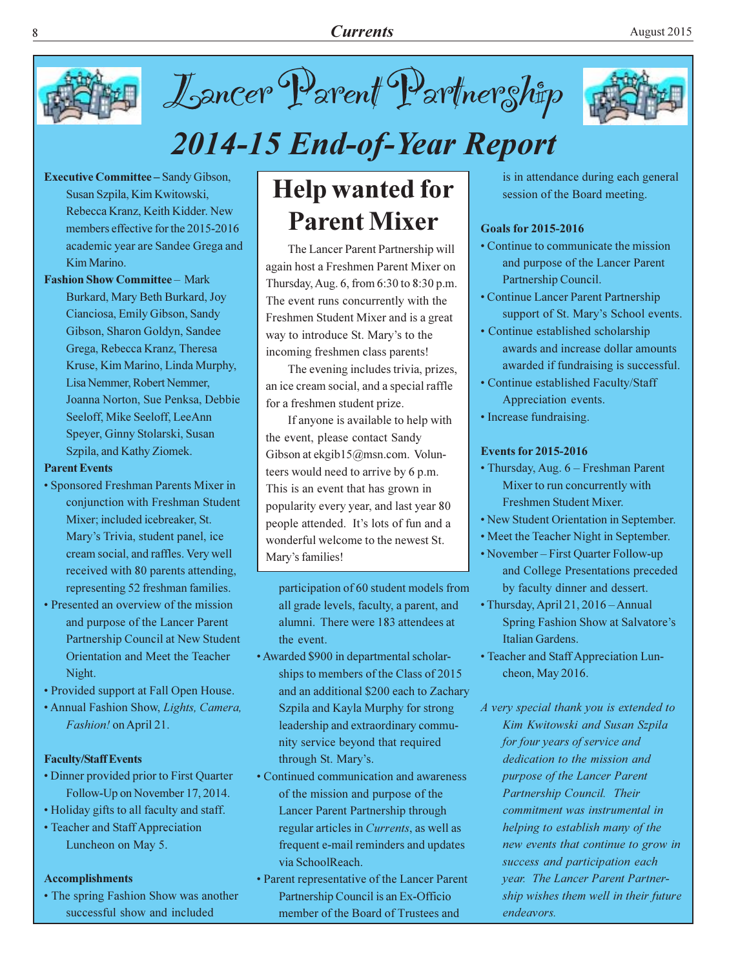

Lancer Parent Partnership



# 2014-15 End-of-Year Report

- **Executive Committee Sandy Gibson,** Susan Szpila, Kim Kwitowski, Rebecca Kranz, Keith Kidder, New members effective for the 2015-2016 academic year are Sandee Grega and Kim Marino.
- **Fashion Show Committee Mark** Burkard, Mary Beth Burkard, Joy Cianciosa, Emily Gibson, Sandy Gibson, Sharon Goldyn, Sandee Grega, Rebecca Kranz, Theresa Kruse, Kim Marino, Linda Murphy, Lisa Nemmer, Robert Nemmer, Joanna Norton, Sue Penksa, Debbie Seeloff, Mike Seeloff, LeeAnn Speyer, Ginny Stolarski, Susan Szpila, and Kathy Ziomek.

### **Parent Events**

- Sponsored Freshman Parents Mixer in conjunction with Freshman Student Mixer; included icebreaker, St. Mary's Trivia, student panel, ice cream social, and raffles. Very well received with 80 parents attending, representing 52 freshman families.
- Presented an overview of the mission and purpose of the Lancer Parent Partnership Council at New Student Orientation and Meet the Teacher Night.
- Provided support at Fall Open House.
- Annual Fashion Show, Lights, Camera, Fashion! on April 21.

### **Faculty/Staff Events**

- Dinner provided prior to First Quarter Follow-Up on November 17, 2014.
- Holiday gifts to all faculty and staff.
- Teacher and Staff Appreciation Luncheon on May 5.

### **Accomplishments**

• The spring Fashion Show was another successful show and included

# **Help wanted for Parent Mixer**

The Lancer Parent Partnership will again host a Freshmen Parent Mixer on Thursday, Aug. 6, from 6:30 to 8:30 p.m. The event runs concurrently with the Freshmen Student Mixer and is a great way to introduce St. Mary's to the incoming freshmen class parents!

The evening includes trivia, prizes, an ice cream social, and a special raffle for a freshmen student prize.

If anyone is available to help with the event, please contact Sandy Gibson at ekgib15@msn.com. Volunteers would need to arrive by 6 p.m. This is an event that has grown in popularity every year, and last year 80 people attended. It's lots of fun and a wonderful welcome to the newest St. Mary's families!

participation of 60 student models from all grade levels, faculty, a parent, and alumni. There were 183 attendees at the event.

- Awarded \$900 in departmental scholarships to members of the Class of 2015 and an additional \$200 each to Zachary Szpila and Kayla Murphy for strong leadership and extraordinary community service beyond that required through St. Mary's.
- Continued communication and awareness of the mission and purpose of the Lancer Parent Partnership through regular articles in *Currents*, as well as frequent e-mail reminders and updates via SchoolReach.
- Parent representative of the Lancer Parent Partnership Council is an Ex-Officio member of the Board of Trustees and

is in attendance during each general session of the Board meeting.

### **Goals for 2015-2016**

- Continue to communicate the mission and purpose of the Lancer Parent Partnership Council.
- Continue Lancer Parent Partnership support of St. Mary's School events.
- Continue established scholarship awards and increase dollar amounts awarded if fundraising is successful.
- Continue established Faculty/Staff Appreciation events.
- Increase fundraising.

### **Events for 2015-2016**

- Thursday, Aug. 6 Freshman Parent Mixer to run concurrently with Freshmen Student Mixer.
- New Student Orientation in September.
- Meet the Teacher Night in September.
- November First Quarter Follow-up and College Presentations preceded by faculty dinner and dessert.
- Thursday, April 21, 2016 Annual Spring Fashion Show at Salvatore's Italian Gardens.
- Teacher and Staff Appreciation Luncheon, May 2016.

A very special thank you is extended to Kim Kwitowski and Susan Szpila for four years of service and dedication to the mission and purpose of the Lancer Parent Partnership Council. Their commitment was instrumental in helping to establish many of the new events that continue to grow in success and participation each year. The Lancer Parent Partnership wishes them well in their future endeavors.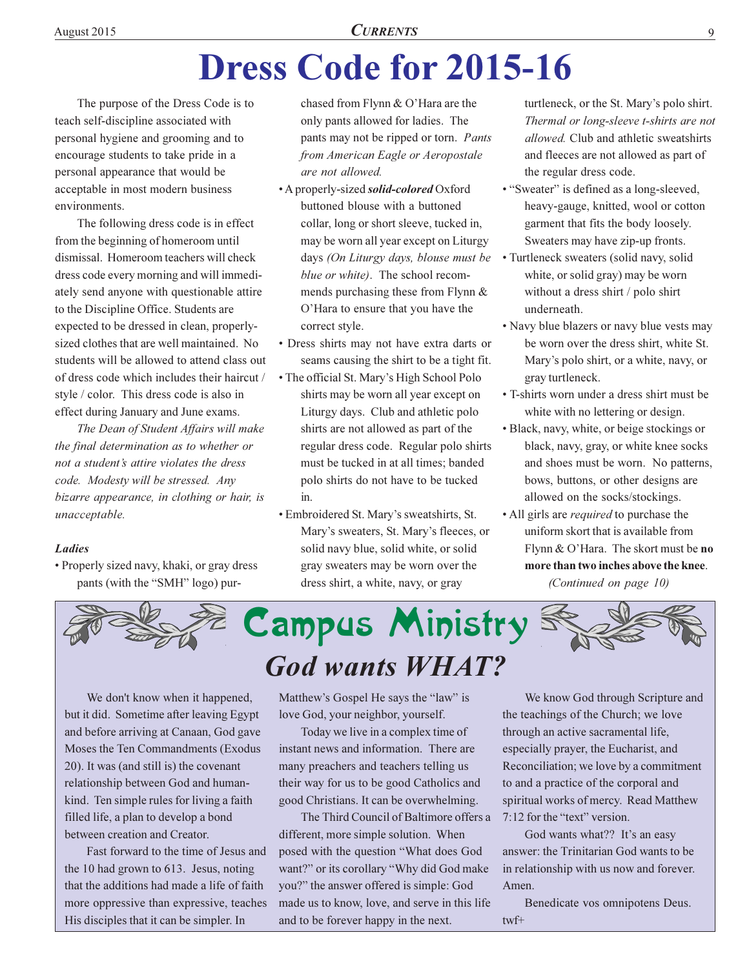# **Dress Code for 2015-16**

The purpose of the Dress Code is to teach self-discipline associated with personal hygiene and grooming and to encourage students to take pride in a personal appearance that would be acceptable in most modern business environments.

The following dress code is in effect from the beginning of homeroom until dismissal. Homeroom teachers will check dress code every morning and will immediately send anyone with questionable attire to the Discipline Office. Students are expected to be dressed in clean, properlysized clothes that are well maintained. No students will be allowed to attend class out of dress code which includes their haircut / style / color. This dress code is also in effect during January and June exams.

The Dean of Student Affairs will make the final determination as to whether or not a student's attire violates the dress code. Modesty will be stressed. Any bizarre appearance, in clothing or hair, is unacceptable.

### **Ladies**

• Properly sized navy, khaki, or gray dress pants (with the "SMH" logo) pur-

chased from Flynn & O'Hara are the only pants allowed for ladies. The pants may not be ripped or torn. Pants from American Eagle or Aeropostale are not allowed.

- A properly-sized *solid-colored* Oxford buttoned blouse with a buttoned collar, long or short sleeve, tucked in, may be worn all year except on Liturgy days (On Liturgy days, blouse must be blue or white). The school recommends purchasing these from Flynn  $&$ O'Hara to ensure that you have the correct style.
- · Dress shirts may not have extra darts or seams causing the shirt to be a tight fit.
- The official St. Mary's High School Polo shirts may be worn all year except on Liturgy days. Club and athletic polo shirts are not allowed as part of the regular dress code. Regular polo shirts must be tucked in at all times; banded polo shirts do not have to be tucked in.
- · Embroidered St. Mary's sweatshirts, St. Mary's sweaters, St. Mary's fleeces, or solid navy blue, solid white, or solid gray sweaters may be worn over the dress shirt, a white, navy, or gray

turtleneck, or the St. Mary's polo shirt. Thermal or long-sleeve t-shirts are not *allowed*. Club and athletic sweatshirts and fleeces are not allowed as part of the regular dress code.

- "Sweater" is defined as a long-sleeved, heavy-gauge, knitted, wool or cotton garment that fits the body loosely. Sweaters may have zip-up fronts.
- Turtleneck sweaters (solid navy, solid white, or solid gray) may be worn without a dress shirt / polo shirt underneath.
- Navy blue blazers or navy blue vests may be worn over the dress shirt, white St. Mary's polo shirt, or a white, navy, or gray turtleneck.
- T-shirts worn under a dress shirt must be white with no lettering or design.
- Black, navy, white, or beige stockings or black, navy, gray, or white knee socks and shoes must be worn. No patterns, bows, buttons, or other designs are allowed on the socks/stockings.
- All girls are *required* to purchase the uniform skort that is available from Flynn & O'Hara. The skort must be no more than two inches above the knee.

(Continued on page 10)



We don't know when it happened, but it did. Sometime after leaving Egypt and before arriving at Canaan, God gave Moses the Ten Commandments (Exodus 20). It was (and still is) the covenant relationship between God and humankind. Ten simple rules for living a faith filled life, a plan to develop a bond between creation and Creator.

Fast forward to the time of Jesus and the 10 had grown to 613. Jesus, noting that the additions had made a life of faith more oppressive than expressive, teaches His disciples that it can be simpler. In

Matthew's Gospel He says the "law" is love God, your neighbor, yourself.

Today we live in a complex time of instant news and information. There are many preachers and teachers telling us their way for us to be good Catholics and good Christians. It can be overwhelming.

The Third Council of Baltimore offers a different, more simple solution. When posed with the question "What does God want?" or its corollary "Why did God make you?" the answer offered is simple: God made us to know, love, and serve in this life and to be forever happy in the next.

We know God through Scripture and the teachings of the Church; we love through an active sacramental life, especially prayer, the Eucharist, and Reconciliation; we love by a commitment to and a practice of the corporal and spiritual works of mercy. Read Matthew 7:12 for the "text" version.

God wants what?? It's an easy answer: the Trinitarian God wants to be in relationship with us now and forever. Amen.

Benedicate vos omnipotens Deus.  $twf+$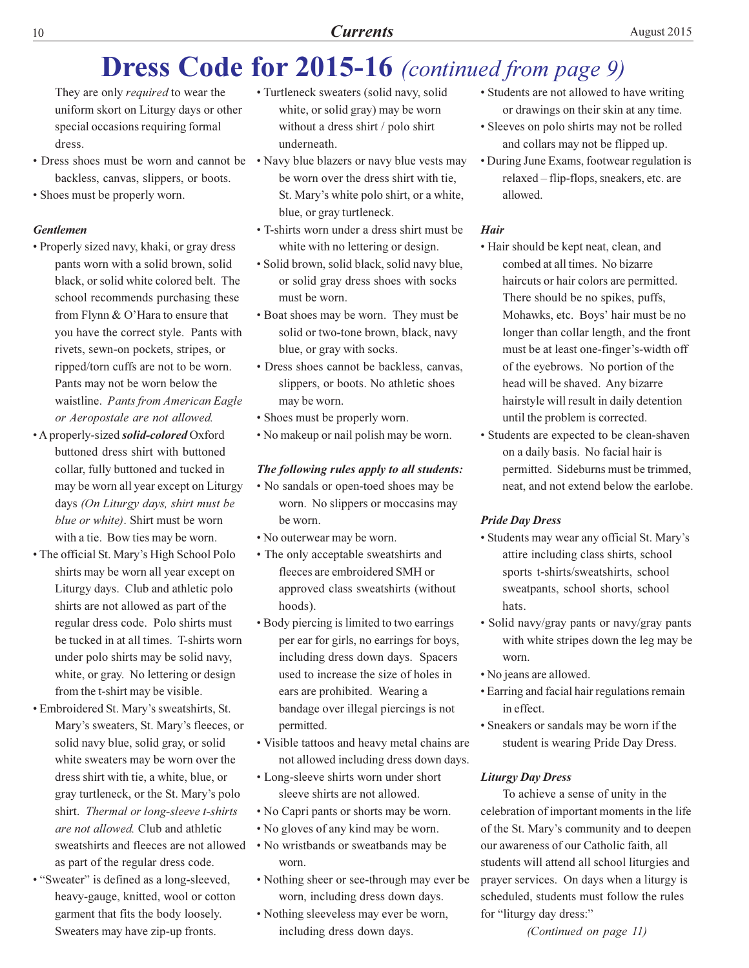# **Dress Code for 2015-16** (continued from page 9)

They are only *required* to wear the uniform skort on Liturgy days or other special occasions requiring formal dress.

- Dress shoes must be worn and cannot be Navy blue blazers or navy blue vests may backless, canvas, slippers, or boots.
- Shoes must be properly worn.

## **Gentlemen**

- Properly sized navy, khaki, or gray dress pants worn with a solid brown, solid black, or solid white colored belt. The school recommends purchasing these from Flynn & O'Hara to ensure that you have the correct style. Pants with rivets, sewn-on pockets, stripes, or ripped/torn cuffs are not to be worn. Pants may not be worn below the waistline. Pants from American Eagle or Aeropostale are not allowed.
- A properly-sized *solid-colored* Oxford buttoned dress shirt with buttoned collar, fully buttoned and tucked in may be worn all year except on Liturgy days (On Liturgy days, shirt must be blue or white). Shirt must be worn with a tie. Bow ties may be worn.
- The official St. Mary's High School Polo shirts may be worn all year except on Liturgy days. Club and athletic polo shirts are not allowed as part of the regular dress code. Polo shirts must be tucked in at all times. T-shirts worn under polo shirts may be solid navy, white, or gray. No lettering or design from the t-shirt may be visible.
- Embroidered St. Mary's sweatshirts, St. Mary's sweaters, St. Mary's fleeces, or solid navy blue, solid gray, or solid white sweaters may be worn over the dress shirt with tie, a white, blue, or gray turtleneck, or the St. Mary's polo shirt. Thermal or long-sleeve t-shirts are not allowed. Club and athletic sweatshirts and fleeces are not allowed as part of the regular dress code.
- "Sweater" is defined as a long-sleeved, heavy-gauge, knitted, wool or cotton garment that fits the body loosely. Sweaters may have zip-up fronts.
- · Turtleneck sweaters (solid navy, solid white, or solid gray) may be worn without a dress shirt / polo shirt underneath.
- be worn over the dress shirt with tie, St. Mary's white polo shirt, or a white, blue, or gray turtleneck.
- T-shirts worn under a dress shirt must be white with no lettering or design.
- · Solid brown, solid black, solid navy blue, or solid gray dress shoes with socks must be worn.
- Boat shoes may be worn. They must be solid or two-tone brown, black, navy blue, or gray with socks.
- Dress shoes cannot be backless, canvas, slippers, or boots. No athletic shoes may be worn.
- Shoes must be properly worn.
- No makeup or nail polish may be worn.

### The following rules apply to all students:

- No sandals or open-toed shoes may be worn. No slippers or moccasins may be worn.
- No outerwear may be worn.
- The only acceptable sweatshirts and fleeces are embroidered SMH or approved class sweatshirts (without hoods).
- Body piercing is limited to two earrings per ear for girls, no earrings for boys, including dress down days. Spacers used to increase the size of holes in ears are prohibited. Wearing a bandage over illegal piercings is not permitted.
- Visible tattoos and heavy metal chains are not allowed including dress down days.
- Long-sleeve shirts worn under short sleeve shirts are not allowed.
- No Capri pants or shorts may be worn.
- No gloves of any kind may be worn.
- No wristbands or sweatbands may be worn.
- Nothing sheer or see-through may ever be worn, including dress down days.
- Nothing sleeveless may ever be worn, including dress down days.
- Students are not allowed to have writing or drawings on their skin at any time.
- · Sleeves on polo shirts may not be rolled and collars may not be flipped up.
- During June Exams, footwear regulation is relaxed - flip-flops, sneakers, etc. are allowed.

### **Hair**

- Hair should be kept neat, clean, and combed at all times. No bizarre haircuts or hair colors are permitted. There should be no spikes, puffs, Mohawks, etc. Boys' hair must be no longer than collar length, and the front must be at least one-finger's-width off of the eyebrows. No portion of the head will be shaved. Any bizarre hairstyle will result in daily detention until the problem is corrected.
- Students are expected to be clean-shaven on a daily basis. No facial hair is permitted. Sideburns must be trimmed, neat, and not extend below the earlobe.

# **Pride Day Dress**

- Students may wear any official St. Mary's attire including class shirts, school sports t-shirts/sweatshirts, school sweatpants, school shorts, school hats.
- Solid navy/gray pants or navy/gray pants with white stripes down the leg may be worn.
- No jeans are allowed.
- Earring and facial hair regulations remain in effect.
- Sneakers or sandals may be worn if the student is wearing Pride Day Dress.

# **Liturgy Day Dress**

To achieve a sense of unity in the celebration of important moments in the life of the St. Mary's community and to deepen our awareness of our Catholic faith, all students will attend all school liturgies and prayer services. On days when a liturgy is scheduled, students must follow the rules for "liturgy day dress:"

(Continued on page 11)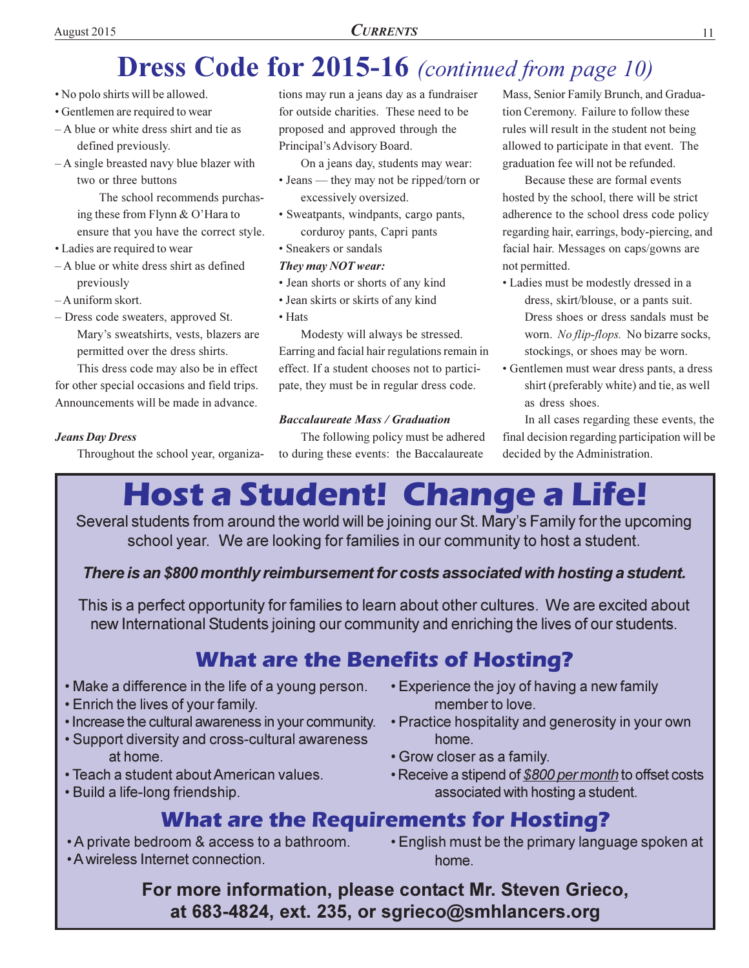# **CURRENTS**

# **Dress Code for 2015-16** (continued from page 10)

- No polo shirts will be allowed.
- Gentlemen are required to wear
- A blue or white dress shirt and tie as defined previously.
- A single breasted navy blue blazer with two or three buttons

The school recommends purchasing these from Flynn & O'Hara to ensure that you have the correct style.

- Ladies are required to wear
- A blue or white dress shirt as defined previously

-A uniform skort.

- Dress code sweaters, approved St. Mary's sweatshirts, vests, blazers are permitted over the dress shirts.

This dress code may also be in effect for other special occasions and field trips. Announcements will be made in advance.

# **Jeans Day Dress**

Throughout the school year, organiza-

tions may run a jeans day as a fundraiser for outside charities. These need to be proposed and approved through the Principal's Advisory Board.

On a jeans day, students may wear:

- Jeans they may not be ripped/torn or excessively oversized.
- · Sweatpants, windpants, cargo pants, corduroy pants, Capri pants
- Sneakers or sandals

### They may NOT wear:

- · Jean shorts or shorts of any kind
- · Jean skirts or skirts of any kind
- $\bullet$  Hats

Modesty will always be stressed. Earring and facial hair regulations remain in effect. If a student chooses not to participate, they must be in regular dress code.

# **Baccalaureate Mass / Graduation**

The following policy must be adhered to during these events: the Baccalaureate

Mass, Senior Family Brunch, and Graduation Ceremony. Failure to follow these rules will result in the student not being allowed to participate in that event. The graduation fee will not be refunded.

Because these are formal events hosted by the school, there will be strict adherence to the school dress code policy regarding hair, earrings, body-piercing, and facial hair. Messages on caps/gowns are not permitted.

- Ladies must be modestly dressed in a dress, skirt/blouse, or a pants suit. Dress shoes or dress sandals must be worn. No flip-flops. No bizarre socks, stockings, or shoes may be worn.
- Gentlemen must wear dress pants, a dress shirt (preferably white) and tie, as well as dress shoes.

In all cases regarding these events, the final decision regarding participation will be decided by the Administration.

# Host a Student! Change a Life!

Several students from around the world will be joining our St. Mary's Family for the upcoming school year. We are looking for families in our community to host a student.

There is an \$800 monthly reimbursement for costs associated with hosting a student.

This is a perfect opportunity for families to learn about other cultures. We are excited about new International Students joining our community and enriching the lives of our students.

# **What are the Benefits of Hosting?**

- Make a difference in the life of a young person.
- **Enrich the lives of your family.**
- Increase the cultural awareness in your community.
- Support diversity and cross-cultural awareness at home
- Teach a student about American values.
- Build a life-long friendship.
- Experience the joy of having a new family member to love.
- Practice hospitality and generosity in your own home.
- Grow closer as a family.
- Receive a stipend of \$800 per month to offset costs associated with hosting a student.

# **What are the Requirements for Hosting?**

- A private bedroom & access to a bathroom.
- A wireless Internet connection.

• English must be the primary language spoken at home.

For more information, please contact Mr. Steven Grieco, at 683-4824, ext. 235, or sgrieco@smhlancers.org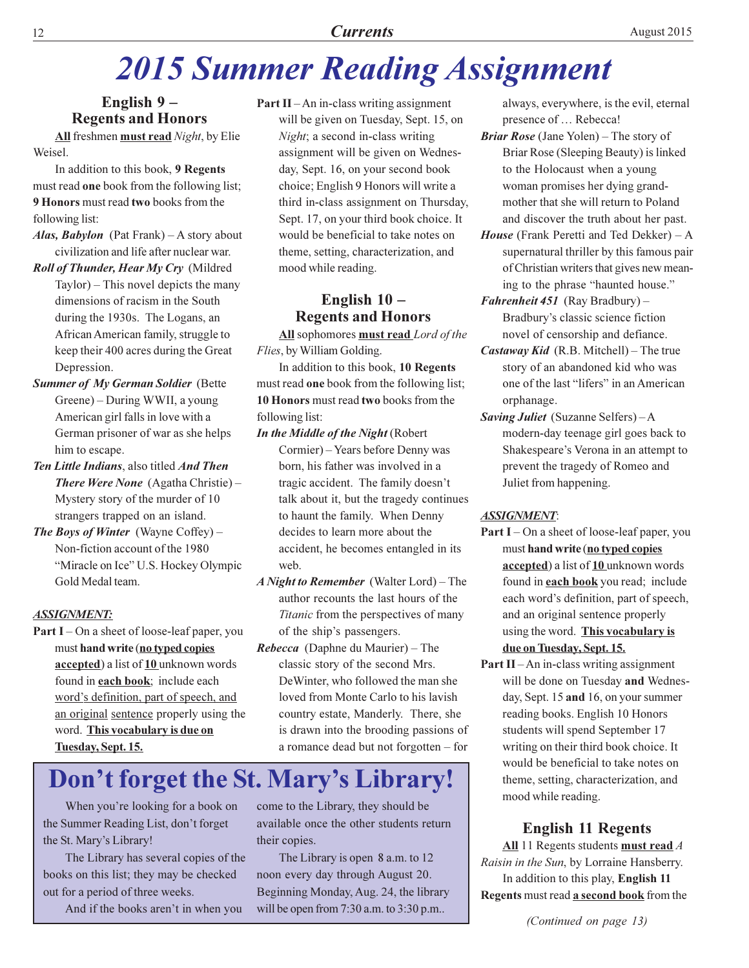# **2015 Summer Reading Assignment**

# English 9-**Regents and Honors**

All freshmen must read Night, by Elie Weisel.

In addition to this book, 9 Regents must read one book from the following list; 9 Honors must read two books from the following list:

- Alas, Babylon (Pat Frank) A story about civilization and life after nuclear war.
- Roll of Thunder, Hear My Cry (Mildred  $Taylor$  – This novel depicts the many dimensions of racism in the South during the 1930s. The Logans, an African American family, struggle to keep their 400 acres during the Great Depression.
- **Summer of My German Soldier (Bette** Greene) – During WWII, a young American girl falls in love with a German prisoner of war as she helps him to escape.
- Ten Little Indians, also titled And Then There Were None (Agatha Christie) -Mystery story of the murder of 10 strangers trapped on an island.
- The Boys of Winter (Wayne Coffey)  $-$ Non-fiction account of the 1980 "Miracle on Ice" U.S. Hockey Olympic Gold Medal team.

### **ASSIGNMENT:**

**Part I** – On a sheet of loose-leaf paper, you must hand write (no typed copies accepted) a list of 10 unknown words found in each book; include each word's definition, part of speech, and an original sentence properly using the word. This vocabulary is due on Tuesday, Sept. 15.

**Part II** $-An$  in-class writing assignment will be given on Tuesday, Sept. 15, on Night; a second in-class writing assignment will be given on Wednesday, Sept. 16, on your second book choice; English 9 Honors will write a third in-class assignment on Thursday, Sept. 17, on your third book choice. It would be beneficial to take notes on theme, setting, characterization, and mood while reading.

# English  $10 -$ **Regents and Honors**

All sophomores must read Lord of the Flies, by William Golding.

In addition to this book, 10 Regents must read one book from the following list; 10 Honors must read two books from the following list:

- In the Middle of the Night (Robert Cormier) - Years before Denny was born, his father was involved in a tragic accident. The family doesn't talk about it, but the tragedy continues to haunt the family. When Denny decides to learn more about the accident, he becomes entangled in its web.
- A Night to Remember (Walter Lord) The author recounts the last hours of the *Titanic* from the perspectives of many of the ship's passengers.
- *Rebecca* (Daphne du Maurier) The classic story of the second Mrs. DeWinter, who followed the man she loved from Monte Carlo to his lavish country estate, Manderly. There, she is drawn into the brooding passions of a romance dead but not forgotten - for

# Don't forget the St. Mary's Library!

When you're looking for a book on the Summer Reading List, don't forget the St. Mary's Library!

The Library has several copies of the books on this list; they may be checked out for a period of three weeks.

And if the books aren't in when you

come to the Library, they should be available once the other students return their copies.

The Library is open 8 a.m. to 12 noon every day through August 20. Beginning Monday, Aug. 24, the library will be open from 7:30 a.m. to 3:30 p.m..

always, everywhere, is the evil, eternal presence of ... Rebecca!

- **Briar Rose** (Jane Yolen) The story of Briar Rose (Sleeping Beauty) is linked to the Holocaust when a young woman promises her dying grandmother that she will return to Poland and discover the truth about her past.
- *House* (Frank Peretti and Ted Dekker)  $-A$ supernatural thriller by this famous pair of Christian writers that gives new meaning to the phrase "haunted house."
- Fahrenheit 451 (Ray Bradbury) -Bradbury's classic science fiction novel of censorship and defiance.
- *Castaway Kid* (R.B. Mitchell) The true story of an abandoned kid who was one of the last "lifers" in an American orphanage.
- Saving Juliet (Suzanne Selfers) A modern-day teenage girl goes back to Shakespeare's Verona in an attempt to prevent the tragedy of Romeo and Juliet from happening.

### **ASSIGNMENT:**

- **Part I** On a sheet of loose-leaf paper, you must hand write (no typed copies accepted) a list of 10 unknown words found in **each book** you read; include each word's definition, part of speech, and an original sentence properly using the word. This vocabulary is due on Tuesday, Sept. 15.
- **Part II** An in-class writing assignment will be done on Tuesday and Wednesday, Sept. 15 and 16, on your summer reading books. English 10 Honors students will spend September 17 writing on their third book choice. It would be beneficial to take notes on theme, setting, characterization, and mood while reading.

# **English 11 Regents**

All 11 Regents students must read  $A$ Raisin in the Sun, by Lorraine Hansberry. In addition to this play, English 11 Regents must read a second book from the

(Continued on page 13)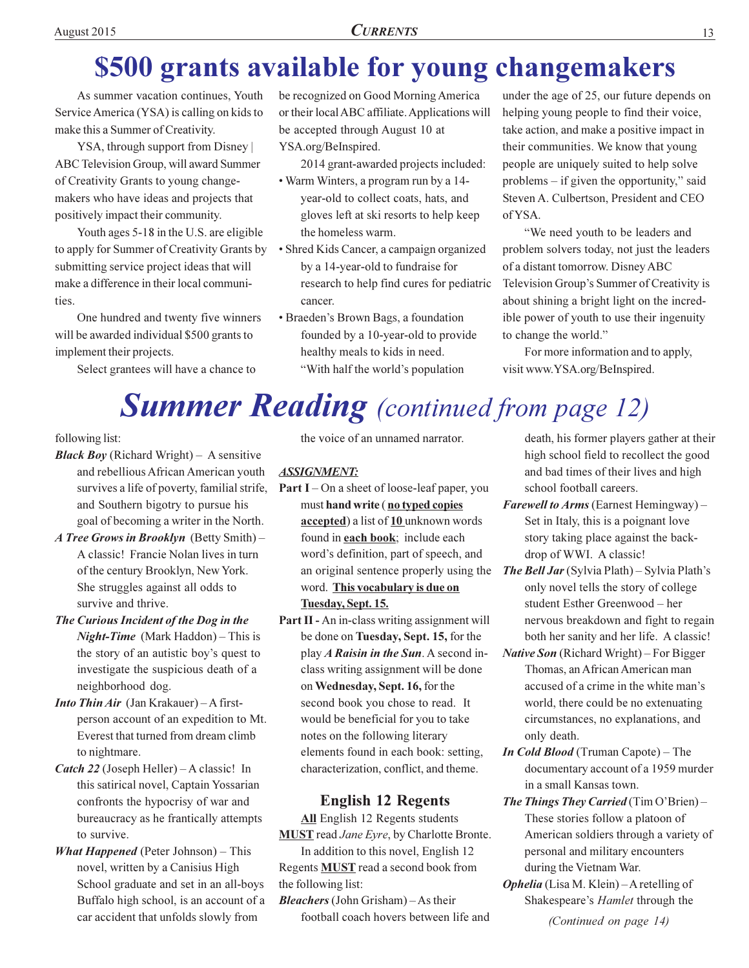# \$500 grants available for young changemakers

As summer vacation continues, Youth Service America (YSA) is calling on kids to make this a Summer of Creativity.

YSA, through support from Disney ABC Television Group, will award Summer of Creativity Grants to young changemakers who have ideas and projects that positively impact their community.

Youth ages 5-18 in the U.S. are eligible to apply for Summer of Creativity Grants by submitting service project ideas that will make a difference in their local communities.

One hundred and twenty five winners will be awarded individual \$500 grants to implement their projects.

Select grantees will have a chance to

be recognized on Good Morning America or their local ABC affiliate. Applications will be accepted through August 10 at YSA.org/BeInspired.

2014 grant-awarded projects included:

- Warm Winters, a program run by a 14year-old to collect coats, hats, and gloves left at ski resorts to help keep the homeless warm.
- Shred Kids Cancer, a campaign organized by a 14-year-old to fundraise for research to help find cures for pediatric cancer.
- Braeden's Brown Bags, a foundation founded by a 10-year-old to provide healthy meals to kids in need. "With half the world's population

under the age of 25, our future depends on helping young people to find their voice, take action, and make a positive impact in their communities. We know that young people are uniquely suited to help solve problems  $-$  if given the opportunity," said Steven A. Culbertson, President and CEO of YSA.

"We need youth to be leaders and problem solvers today, not just the leaders of a distant tomorrow. Disney ABC Television Group's Summer of Creativity is about shining a bright light on the incredible power of youth to use their ingenuity to change the world."

For more information and to apply, visit www.YSA.org/BeInspired.

# **Summer Reading** (continued from page 12)

following list:

- **Black Boy** (Richard Wright) A sensitive and rebellious African American youth survives a life of poverty, familial strife, and Southern bigotry to pursue his goal of becoming a writer in the North.
- A Tree Grows in Brooklyn (Betty Smith) -A classic! Francie Nolan lives in turn of the century Brooklyn, New York. She struggles against all odds to survive and thrive.
- The Curious Incident of the Dog in the **Night-Time** (Mark Haddon) – This is the story of an autistic boy's quest to investigate the suspicious death of a neighborhood dog.
- **Into Thin Air** (Jan Krakauer) A firstperson account of an expedition to Mt. Everest that turned from dream climb to nightmare.
- *Catch 22* (Joseph Heller) A classic! In this satirical novel, Captain Yossarian confronts the hypocrisy of war and bureaucracy as he frantically attempts to survive.
- **What Happened** (Peter Johnson) This novel, written by a Canisius High School graduate and set in an all-boys Buffalo high school, is an account of a car accident that unfolds slowly from

the voice of an unnamed narrator.

# **ASSIGNMENT:**

- **Part I** On a sheet of loose-leaf paper, you must hand write (no typed copies accepted) a list of 10 unknown words found in **each book**; include each word's definition, part of speech, and an original sentence properly using the word. This vocabulary is due on Tuesday, Sept. 15.
- Part II An in-class writing assignment will be done on Tuesday, Sept. 15, for the play A Raisin in the Sun. A second inclass writing assignment will be done on Wednesday, Sept. 16, for the second book you chose to read. It would be beneficial for you to take notes on the following literary elements found in each book: setting, characterization, conflict, and theme.

# **English 12 Regents**

All English 12 Regents students **MUST** read *Jane Eyre*, by Charlotte Bronte. In addition to this novel, English 12 Regents **MUST** read a second book from the following list:

**Bleachers** (John Grisham) – As their football coach hovers between life and death, his former players gather at their high school field to recollect the good and bad times of their lives and high school football careers.

- Farewell to Arms (Earnest Hemingway) -Set in Italy, this is a poignant love story taking place against the backdrop of WWI. A classic!
- **The Bell Jar** (Sylvia Plath) Sylvia Plath's only novel tells the story of college student Esther Greenwood - her nervous breakdown and fight to regain both her sanity and her life. A classic!
- *Native Son* (Richard Wright) For Bigger Thomas, an African American man accused of a crime in the white man's world, there could be no extenuating circumstances, no explanations, and only death.
- **In Cold Blood** (Truman Capote) The documentary account of a 1959 murder in a small Kansas town.
- The Things They Carried (Tim O'Brien) -These stories follow a platoon of American soldiers through a variety of personal and military encounters during the Vietnam War.
- **Ophelia** (Lisa M. Klein) A retelling of Shakespeare's Hamlet through the (Continued on page 14)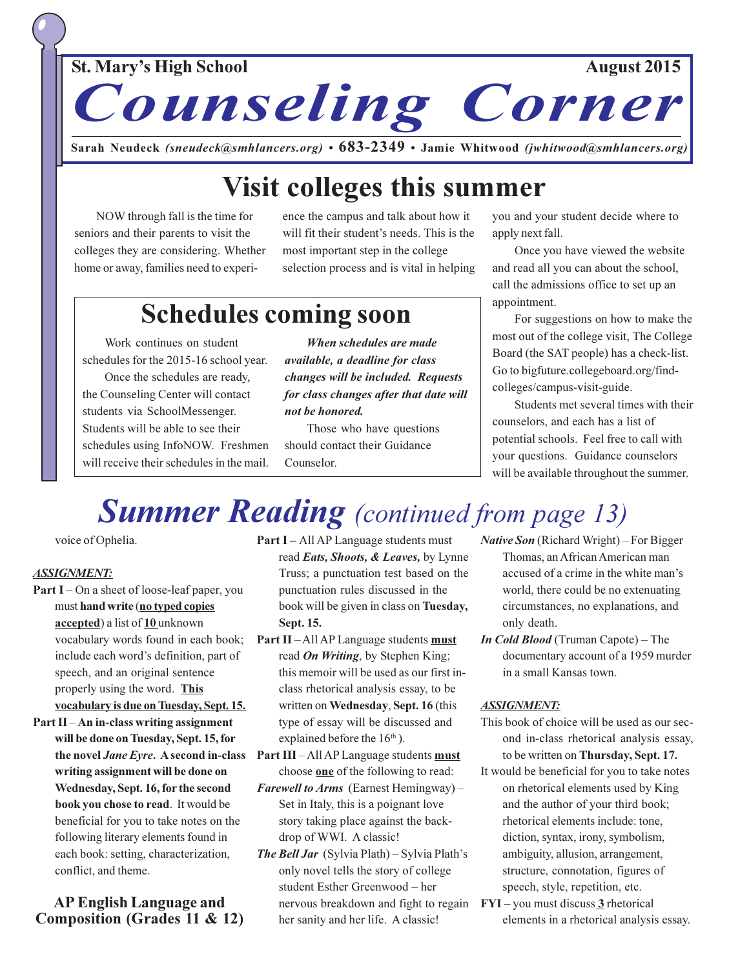# **St. Mary's High School**



Sarah Neudeck (sneudeck@smhlancers.org) • 683-2349 • Jamie Whitwood (jwhitwood@smhlancers.org)

# **Visit colleges this summer**

NOW through fall is the time for seniors and their parents to visit the colleges they are considering. Whether home or away, families need to experience the campus and talk about how it will fit their student's needs. This is the most important step in the college selection process and is vital in helping

# **Schedules coming soon**

Work continues on student schedules for the 2015-16 school year. Once the schedules are ready, the Counseling Center will contact students via SchoolMessenger. Students will be able to see their schedules using InfoNOW. Freshmen will receive their schedules in the mail.

When schedules are made available, a deadline for class changes will be included. Requests for class changes after that date will not be honored.

Those who have questions should contact their Guidance Counselor

you and your student decide where to apply next fall.

Once you have viewed the website and read all you can about the school, call the admissions office to set up an appointment.

For suggestions on how to make the most out of the college visit, The College Board (the SAT people) has a check-list. Go to bigfuture.collegeboard.org/findcolleges/campus-visit-guide.

Students met several times with their counselors, and each has a list of potential schools. Feel free to call with your questions. Guidance counselors will be available throughout the summer.

# **Summer Reading** (continued from page 13)

voice of Ophelia.

### **ASSIGNMENT:**

- **Part I** On a sheet of loose-leaf paper, you must hand write (no typed copies accepted) a list of 10 unknown vocabulary words found in each book; include each word's definition, part of speech, and an original sentence properly using the word. This vocabulary is due on Tuesday, Sept. 15.
- Part  $II$  An in-class writing assignment will be done on Tuesday, Sept. 15, for the novel Jane Eyre. A second in-class writing assignment will be done on Wednesday, Sept. 16, for the second book you chose to read. It would be beneficial for you to take notes on the following literary elements found in each book: setting, characterization, conflict, and theme.

# **AP English Language and** Composition (Grades 11 & 12)

**Part I** – All AP Language students must read Eats, Shoots, & Leaves, by Lynne Truss; a punctuation test based on the punctuation rules discussed in the book will be given in class on Tuesday, Sept. 15.

- Part II-All AP Language students must read *On Writing*, by Stephen King; this memoir will be used as our first inclass rhetorical analysis essay, to be written on Wednesday, Sept. 16 (this type of essay will be discussed and explained before the  $16<sup>th</sup>$ ).
- Part III All AP Language students must choose one of the following to read:
- **Farewell to Arms** (Earnest Hemingway) Set in Italy, this is a poignant love story taking place against the backdrop of WWI. A classic!
- **The Bell Jar** (Sylvia Plath) Sylvia Plath's only novel tells the story of college student Esther Greenwood - her nervous breakdown and fight to regain her sanity and her life. A classic!
- *Native Son* (Richard Wright) For Bigger Thomas, an African American man accused of a crime in the white man's world, there could be no extenuating circumstances, no explanations, and only death.
- **In Cold Blood** (Truman Capote) The documentary account of a 1959 murder in a small Kansas town.

### **ASSIGNMENT:**

- This book of choice will be used as our second in-class rhetorical analysis essay, to be written on Thursday, Sept. 17.
- It would be beneficial for you to take notes on rhetorical elements used by King and the author of your third book; rhetorical elements include: tone, diction, syntax, irony, symbolism, ambiguity, allusion, arrangement, structure, connotation, figures of speech, style, repetition, etc.
- **FYI**  $-$  you must discuss  $3$  rhetorical elements in a rhetorical analysis essay.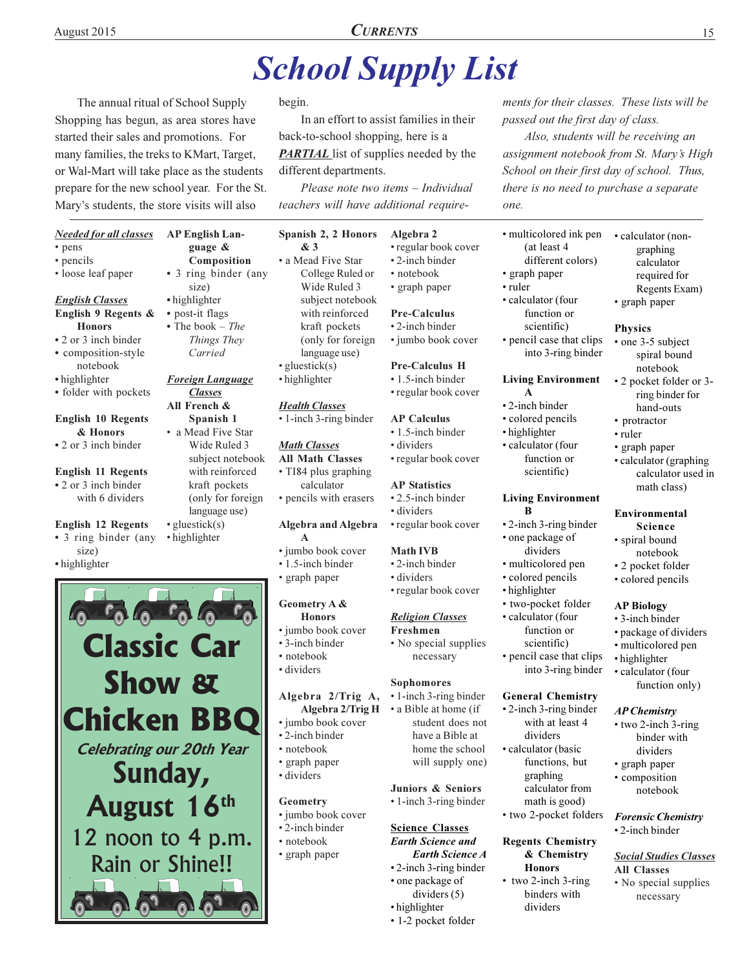# **School Supply List**

The annual ritual of School Supply Shopping has begun, as area stores have started their sales and promotions. For many families, the treks to KMart, Target, or Wal-Mart will take place as the students prepare for the new school year. For the St. Mary's students, the store visits will also

### **Needed for all classes**

- pens
- pencils
- · loose leaf paper

### **English Classes** English 9 Regents &

- **Honors**
- 2 or 3 inch binder · composition-style
- notebook
- highlighter
- folder with pockets

### **English 10 Regents** & Honors

- 2 or 3 inch binder
- **English 11 Regents** • 2 or 3 inch binder with 6 dividers

### **English 12 Regents**

- 3 ring binder (any size)
- highlighter

### guage & Composition • 3 ring binder (any size) • highlighter

**AP English Lan-**

- post-it flags
- The book  $-$  The Things They Carried

# **Foreign Language Classes**

- All French & Spanish 1 • a Mead Five Star
- Wide Ruled 3 subject notebook with reinforced kraft pockets (only for foreign language use)  $\bullet$  gluestick(s)
- highlighter
- 
- **Follow to Lower Classic Car Show & Chicken BBQ Celebrating our 20th Year** Sunday, August 16th 12 noon to 4 p.m. Rain or Shine!!

### begin.

In an effort to assist families in their back-to-school shopping, here is a **PARTIAL** list of supplies needed by the different departments.

Please note two items - Individual teachers will have additional require-

### Spanish 2, 2 Honors & 3

- a Mead Five Star College Ruled or Wide Ruled 3 subject notebook with reinforced kraft pockets (only for foreign language use)  $\cdot$  gluestick(s)
- · highlighter

# **Health Classes**

• 1-inch 3-ring binder

### **Math Classes All Math Classes**

- TI84 plus graphing calculator • pencils with erasers
- **Algebra and Algebra**
- A · jumbo book cover
- 1.5-inch binder
- · graph paper

# Geometry A &

- **Honors** • jumbo book cover
- 3-inch binder
- $\cdot$  notebook
- · dividers

# Algebra 2/Trig A,

# · jumbo book cover

- 2-inch binder
- 
- 
- · dividers

### Geometry

- · jumbo book cover
- •2-inch binder
- · notebook
- · graph paper

### Algebra 2 • regular book cover

- 2-inch binder
- · notebook • graph paper

# **Pre-Calculus**

- 2-inch binder
- jumbo book cover

# **Pre-Calculus H**

• 1.5-inch binder

# • regular book cover

### **AP Calculus**

- 1.5-inch binder · dividers
- regular book cover

### **AP** Statistics

- $\cdot$  2.5-inch binder
- · dividers

# • regular book cover

- **Math IVB**
- •2-inch binder
- · dividers • regular book cover

### **Religion Classes**

necessary

• 1-inch 3-ring binder

• a Bible at home (if

Juniors & Seniors

• 1-inch 3-ring binder

**Science Classes** 

• one package of

• highlighter

**Earth Science and** 

• 2-inch 3-ring binder

dividers  $(5)$ 

• 1-2 pocket folder

**Earth Science A** 

student does not

have a Bible at

home the school

will supply one)

Sophomores

- Freshmen • No special supplies
- 
- 

# Algebra 2/Trig H

- · notebook
- graph paper
- 

- 
- 
- 
- 

# ments for their classes. These lists will be passed out the first day of class.

15

Also, students will be receiving an assignment notebook from St. Mary's High School on their first day of school. Thus, there is no need to purchase a separate one.

· calculator (non-

graphing

calculator

• graph paper

• one 3-5 subject

notebook

hand-outs

• calculator (graphing)

math class)

Environmental

· spiral bound

Science

notebook

• 2 pocket folder

• colored pencils

**AP Biology** 

• highlighter

• 3-inch binder

· package of dividers

function only)

· multicolored pen

· calculator (four

**AP Chemistry** 

• graph paper

• composition

• 2-inch binder

**All Classes** 

• two 2-inch 3-ring

dividers

notebook

**Forensic Chemistry** 

**Social Studies Classes** 

• No special supplies

necessary

binder with

calculator used in

• protractor

• graph paper

• ruler

spiral bound

• 2 pocket folder or 3-

ring binder for

**Physics** 

required for

Regents Exam)

- · multicolored ink pen (at least 4
- different colors) • graph paper
- ruler
- · calculator (four function or scientific)
- pencil case that clips into 3-ring binder

**Living Environment** 

 $\mathbf A$ 

• highlighter

R

• 2-inch binder

• colored pencils

· calculator (four

function or

**Living Environment** 

• 2-inch 3-ring binder

• one package of

dividers

· multicolored pen

• two-pocket folder

function or

scientific)

• pencil case that clips

**General Chemistry** 

• 2-inch 3-ring binder

dividers

· calculator (basic

graphing

with at least 4

functions, but

calculator from

math is good)

• two 2-pocket folders

**Regents Chemistry** 

**Honors** 

dividers

• two 2-inch 3-ring

binders with

& Chemistry

into 3-ring binder

· colored pencils

· calculator (four

• highlighter

scientific)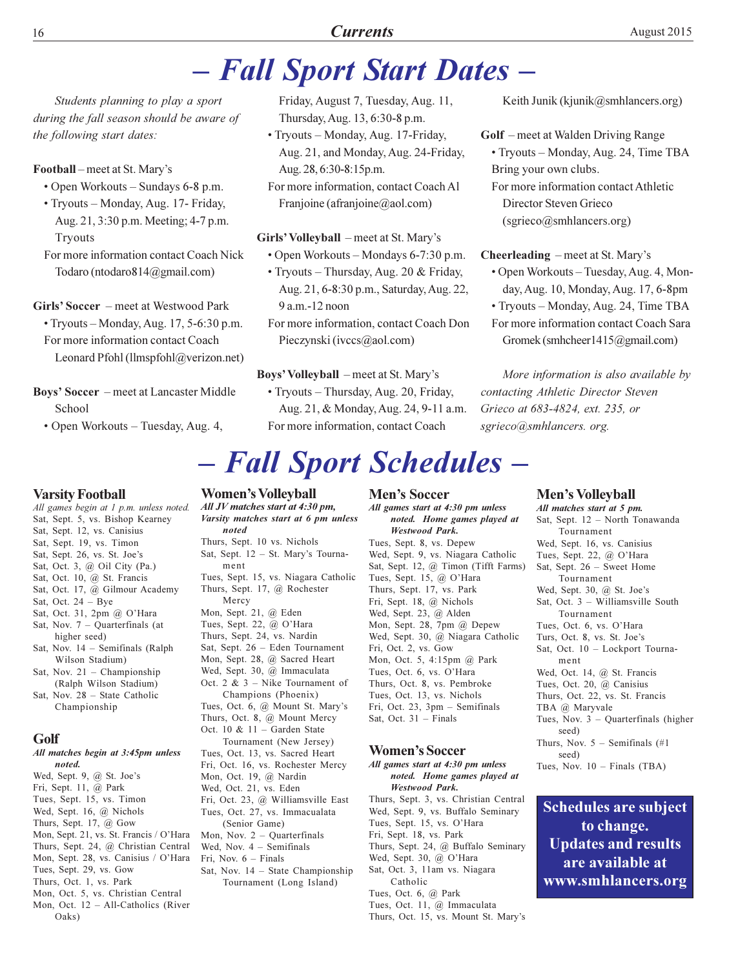# **Currents**

# - Fall Sport Start Dates -

Students planning to play a sport during the fall season should be aware of the following start dates:

### Football – meet at St. Mary's

- Open Workouts Sundays 6-8 p.m.
- Tryouts Monday, Aug. 17- Friday, Aug. 21, 3:30 p.m. Meeting; 4-7 p.m. **Tryouts**
- For more information contact Coach Nick Todaro (ntodaro 814@gmail.com)

Girls' Soccer – meet at Westwood Park • Tryouts - Monday, Aug. 17, 5-6:30 p.m. For more information contact Coach Leonard Pfohl (llmspfohl@verizon.net)

- **Boys' Soccer** meet at Lancaster Middle School
	- Open Workouts Tuesday, Aug. 4,

Friday, August 7, Tuesday, Aug. 11, Thursday, Aug. 13, 6:30-8 p.m.

· Tryouts - Monday, Aug. 17-Friday, Aug. 21, and Monday, Aug. 24-Friday, Aug. 28, 6:30-8:15p.m.

For more information, contact Coach Al Franjoine (afranjoine@aol.com)

### Girls' Volleyball – meet at St. Mary's

- Open Workouts Mondays 6-7:30 p.m.
- Tryouts Thursday, Aug. 20 & Friday, Aug. 21, 6-8:30 p.m., Saturday, Aug. 22,  $9a.m.-12 noon$

For more information, contact Coach Don Pieczynski (ivccs@aol.com)

### Boys' Volleyball – meet at St. Mary's

• Tryouts - Thursday, Aug. 20, Friday, Aug. 21, & Monday, Aug. 24, 9-11 a.m. For more information, contact Coach

# - Fall Sport Schedules -

### **Varsity Football**

All games begin at 1 p.m. unless noted. Sat, Sept. 5, vs. Bishop Kearney Sat, Sept. 12, vs. Canisius Sat, Sept. 19, vs. Timon Sat, Sept. 26, vs. St. Joe's Sat, Oct. 3, @ Oil City (Pa.) Sat, Oct. 10, @ St. Francis Sat, Oct. 17, @ Gilmour Academy Sat, Oct.  $24 - Bye$ Sat, Oct. 31, 2pm @ O'Hara Sat, Nov.  $7 -$  Quarterfinals (at higher seed) Sat, Nov.  $14$  – Semifinals (Ralph) Wilson Stadium) Sat, Nov.  $21$  – Championship (Ralph Wilson Stadium) Sat, Nov. 28 - State Catholic Championship Golf All matches begin at 3:45pm unless noted. Wed, Sept. 9, @ St. Joe's Fri, Sept. 11, @ Park Tues, Sept. 15, vs. Timon Wed, Sept. 16, @ Nichols Thurs, Sept. 17,  $@$  Gow Mon, Sept. 21, vs. St. Francis / O'Hara Thurs, Sept. 24, @ Christian Central Mon, Sept. 28, vs. Canisius / O'Hara Tues, Sept. 29, vs. Gow Thurs, Oct. 1, vs. Park

- Mon, Oct. 5, vs. Christian Central
- Mon, Oct. 12 All-Catholics (River Oaks)

## **Women's Volleyball**

All JV matches start at 4:30 pm, Varsity matches start at 6 pm unless noted Thurs, Sept. 10 vs. Nichols Sat, Sept. 12 - St. Mary's Tournament Tues, Sept. 15, vs. Niagara Catholic Thurs, Sept. 17, @ Rochester Mercy Mon, Sept. 21, @ Eden Tues, Sept. 22, @ O'Hara Thurs, Sept. 24, vs. Nardin Sat, Sept. 26 - Eden Tournament Mon, Sept. 28, @ Sacred Heart Wed, Sept. 30, @ Immaculata Oct. 2 &  $3$  – Nike Tournament of Champions (Phoenix) Tues, Oct. 6, @ Mount St. Mary's Thurs, Oct. 8, @ Mount Mercy Oct. 10 &  $11 -$  Garden State Tournament (New Jersey) Tues, Oct. 13, vs. Sacred Heart Fri, Oct. 16, vs. Rochester Mercy Mon, Oct. 19, @ Nardin Wed, Oct. 21, vs. Eden Fri, Oct. 23, @ Williamsville East Tues, Oct. 27, vs. Immacualata (Senior Game) Mon, Nov.  $2 -$  Quarterfinals Wed, Nov.  $4$  – Semifinals Fri, Nov.  $6$  – Finals Sat, Nov.  $14$  – State Championship Tournament (Long Island)

**Men's Soccer** 

All games start at 4:30 pm unless noted. Home games played at **Westwood Park.** Tues, Sept. 8, vs. Depew Wed, Sept. 9, vs. Niagara Catholic Sat, Sept. 12, @ Timon (Tifft Farms) Tues, Sept. 15, @ O'Hara Thurs, Sept. 17, vs. Park Fri, Sept. 18, @ Nichols Wed, Sept. 23, @ Alden Mon, Sept. 28, 7pm @ Depew

Wed, Sept. 30, @ Niagara Catholic Fri, Oct. 2, vs. Gow Mon, Oct. 5, 4:15pm @ Park Tues, Oct. 6, vs. O'Hara Thurs, Oct. 8, vs. Pembroke Tues, Oct. 13, vs. Nichols Fri, Oct. 23, 3pm - Semifinals Sat, Oct. 31 - Finals

### **Women's Soccer**

All games start at 4:30 pm unless noted. Home games played at **Westwood Park.** Thurs, Sept. 3, vs. Christian Central Wed, Sept. 9, vs. Buffalo Seminary Tues, Sept. 15, vs. O'Hara Fri, Sept. 18, vs. Park Thurs, Sept. 24, @ Buffalo Seminary Wed, Sept. 30, @ O'Hara Sat, Oct. 3, 11am vs. Niagara Catholic Tues, Oct. 6, @ Park Tues, Oct. 11, @ Immaculata Thurs, Oct. 15, vs. Mount St. Mary's

Keith Junik (kjunik@smhlancers.org)

Golf - meet at Walden Driving Range • Tryouts - Monday, Aug. 24, Time TBA Bring your own clubs.

For more information contact Athletic Director Steven Grieco (sgrieco@smhlancers.org)

Cheerleading – meet at St. Mary's • Open Workouts - Tuesday, Aug. 4, Monday, Aug. 10, Monday, Aug. 17, 6-8pm

• Tryouts – Monday, Aug. 24, Time TBA For more information contact Coach Sara Gromek (smhcheer1415@gmail.com)

More information is also available by contacting Athletic Director Steven Grieco at 683-4824, ext. 235, or sgrieco@smhlancers. org.

### **Men's Volleyball**

All matches start at 5 pm. Sat, Sept. 12 - North Tonawanda Tournament Wed, Sept. 16, vs. Canisius Tues, Sept. 22, @ O'Hara Sat, Sept. 26 - Sweet Home Tournament Wed, Sept. 30, @ St. Joe's Sat. Oct.  $3 -$  Williamsville South Tournament Tues, Oct. 6, vs. O'Hara Turs, Oct. 8, vs. St. Joe's Sat, Oct. 10 - Lockport Tournament Wed, Oct. 14, @ St. Francis Tues, Oct. 20, @ Canisius Thurs, Oct. 22, vs. St. Francis TBA @ Maryvale Tues, Nov.  $3 -$  Quarterfinals (higher seed) Thurs, Nov.  $5$  – Semifinals (#1) seed) Tues, Nov.  $10$  – Finals (TBA)

**Schedules are subject** to change. **Updates and results** are available at www.smhlancers.org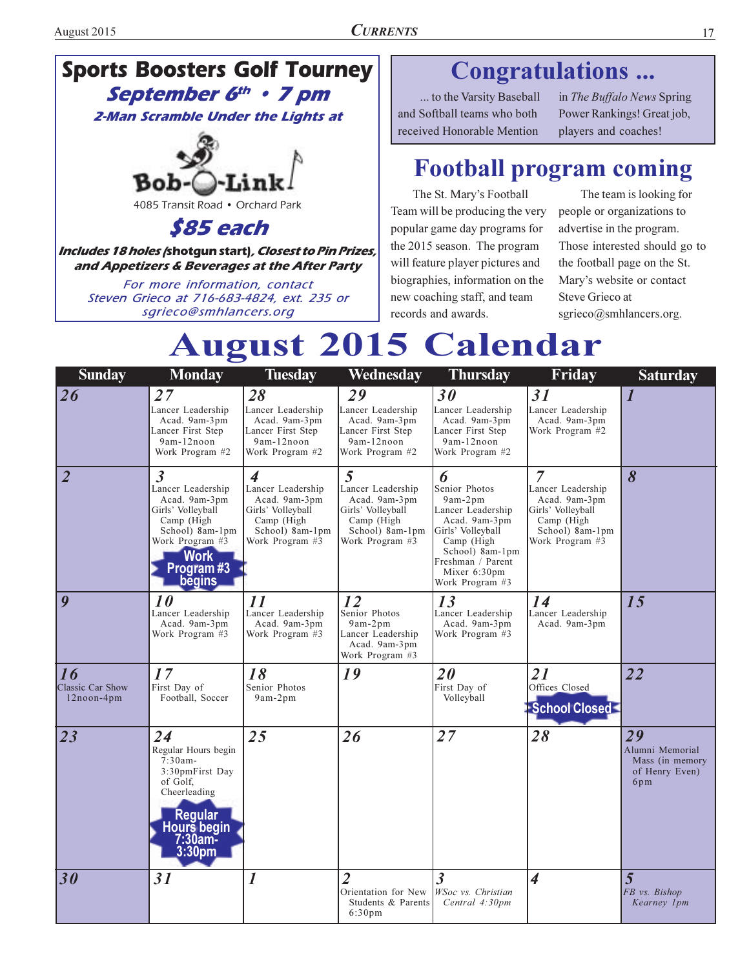# **Sports Boosters Golf Tourney** September 6th . 7 pm

**2-Man Scramble Under the Lights at** 



4085 Transit Road . Orchard Park

S85 each

Includes 18 holes /shotgun start), Closest to Pin Prizes, and Appetizers & Beverages at the After Party

For more information, contact Steven Grieco at 716-683-4824, ext. 235 or sqrieco@smhlancers.org

# Congratulations ...

... to the Varsity Baseball and Softball teams who both received Honorable Mention

in The Buffalo News Spring Power Rankings! Great job, players and coaches!

# **Football program coming**

The St. Mary's Football Team will be producing the very popular game day programs for the 2015 season. The program will feature player pictures and biographies, information on the new coaching staff, and team records and awards.

The team is looking for people or organizations to advertise in the program. Those interested should go to the football page on the St. Mary's website or contact Steve Grieco at sgrieco@smhlancers.org.

# **August 2015 Calendar**

| <b>Sunday</b>                        | <b>Monday</b>                                                                                                                                                       | <b>Tuesday</b>                                                                                                                          | Wednesday                                                                                                        | <b>Thursday</b>                                                                                                                                                                   | Friday                                                                                                           | <b>Saturday</b>                                                   |
|--------------------------------------|---------------------------------------------------------------------------------------------------------------------------------------------------------------------|-----------------------------------------------------------------------------------------------------------------------------------------|------------------------------------------------------------------------------------------------------------------|-----------------------------------------------------------------------------------------------------------------------------------------------------------------------------------|------------------------------------------------------------------------------------------------------------------|-------------------------------------------------------------------|
| 26                                   | 27<br>Lancer Leadership<br>Acad. 9am-3pm<br>Lancer First Step<br>9am-12noon<br>Work Program #2                                                                      | 28<br>Lancer Leadership<br>Acad. 9am-3pm<br>Lancer First Step<br>9am-12noon<br>Work Program #2                                          | 29<br>Lancer Leadership<br>Acad. 9am-3pm<br>Lancer First Step<br>9am-12noon<br>Work Program #2                   | 30<br>Lancer Leadership<br>Acad. 9am-3pm<br>Lancer First Step<br>9am-12noon<br>Work Program #2                                                                                    | 31<br>Lancer Leadership<br>Acad. 9am-3pm<br>Work Program #2                                                      | $\bm{l}$                                                          |
| $\overline{\mathbf{2}}$              | $\mathfrak{Z}$<br>Lancer Leadership<br>Acad. 9am-3pm<br>Girls' Volleyball<br>Camp (High<br>School) 8am-1pm<br>Work Program #3<br><b>Work</b><br>Program#3<br>begins | $\overline{\mathcal{A}}$<br>Lancer Leadership<br>Acad. 9am-3pm<br>Girls' Volleyball<br>Camp (High<br>School) 8am-1pm<br>Work Program #3 | 5<br>Lancer Leadership<br>Acad. 9am-3pm<br>Girls' Volleyball<br>Camp (High<br>School) 8am-1pm<br>Work Program #3 | 6<br>Senior Photos<br>9am-2pm<br>Lancer Leadership<br>Acad. 9am-3pm<br>Girls' Volleyball<br>Camp (High<br>School) 8am-1pm<br>Freshman / Parent<br>Mixer 6:30pm<br>Work Program #3 | 7<br>Lancer Leadership<br>Acad. 9am-3pm<br>Girls' Volleyball<br>Camp (High<br>School) 8am-1pm<br>Work Program #3 | 8                                                                 |
| 9                                    | 10<br>Lancer Leadership<br>Acad. 9am-3pm<br>Work Program #3                                                                                                         | $\boldsymbol{\mathit{11}}$<br>Lancer Leadership<br>Acad. 9am-3pm<br>Work Program #3                                                     | 12<br>Senior Photos<br>$9am-2pm$<br>Lancer Leadership<br>Acad. 9am-3pm<br>Work Program #3                        | 13<br>Lancer Leadership<br>Acad. 9am-3pm<br>Work Program #3                                                                                                                       | 14<br>Lancer Leadership<br>Acad. 9am-3pm                                                                         | 15                                                                |
| 16<br>Classic Car Show<br>12noon-4pm | 17<br>First Day of<br>Football, Soccer                                                                                                                              | 18<br>Senior Photos<br>9am-2pm                                                                                                          | 19                                                                                                               | 20<br>First Day of<br>Volleyball                                                                                                                                                  | 21<br>Offices Closed<br>School Closed                                                                            | 22                                                                |
| 23                                   | 24<br>Regular Hours begin<br>$7:30am -$<br>3:30pmFirst Day<br>of Golf.<br>Cheerleading<br><b>Regular</b><br>Hours begin<br>7:30am-<br>3:30pm                        | 25                                                                                                                                      | 26                                                                                                               | 27                                                                                                                                                                                | 28                                                                                                               | 29<br>Alumni Memorial<br>Mass (in memory<br>of Henry Even)<br>6pm |
| 30                                   | 31                                                                                                                                                                  | 1                                                                                                                                       | $\overline{2}$<br>Orientation for New<br>Students & Parents<br>$6:30 \text{pm}$                                  | $\overline{\mathbf{3}}$<br>WSoc vs. Christian<br>Central 4:30pm                                                                                                                   | $\overline{\mathcal{A}}$                                                                                         | $\overline{5}$<br>FB vs. Bishop<br>Kearney 1pm                    |